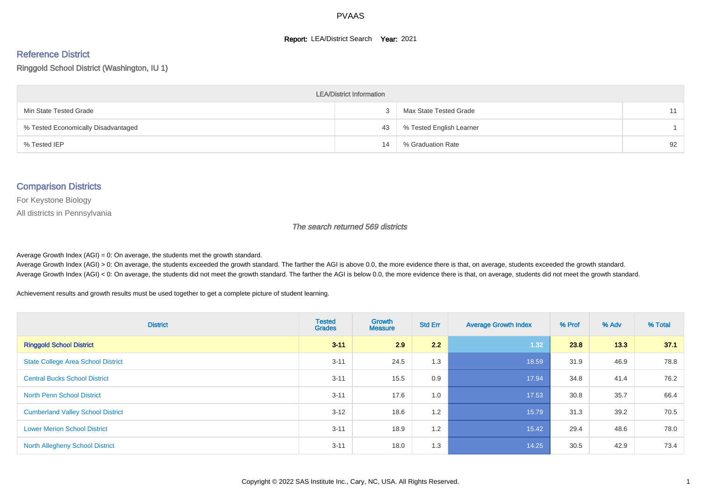#### **Report: LEA/District Search Year: 2021**

# Reference District

#### Ringgold School District (Washington, IU 1)

| <b>LEA/District Information</b>     |    |                          |    |  |  |  |  |  |  |  |
|-------------------------------------|----|--------------------------|----|--|--|--|--|--|--|--|
| Min State Tested Grade              |    | Max State Tested Grade   | 11 |  |  |  |  |  |  |  |
| % Tested Economically Disadvantaged | 43 | % Tested English Learner |    |  |  |  |  |  |  |  |
| % Tested IEP                        | 14 | % Graduation Rate        | 92 |  |  |  |  |  |  |  |

#### Comparison Districts

For Keystone Biology

All districts in Pennsylvania

The search returned 569 districts

Average Growth Index  $(AGI) = 0$ : On average, the students met the growth standard.

Average Growth Index (AGI) > 0: On average, the students exceeded the growth standard. The farther the AGI is above 0.0, the more evidence there is that, on average, students exceeded the growth standard. Average Growth Index (AGI) < 0: On average, the students did not meet the growth standard. The farther the AGI is below 0.0, the more evidence there is that, on average, students did not meet the growth standard.

Achievement results and growth results must be used together to get a complete picture of student learning.

| <b>District</b>                           | <b>Tested</b><br><b>Grades</b> | <b>Growth</b><br><b>Measure</b> | <b>Std Err</b> | <b>Average Growth Index</b> | % Prof | % Adv | % Total |
|-------------------------------------------|--------------------------------|---------------------------------|----------------|-----------------------------|--------|-------|---------|
| <b>Ringgold School District</b>           | $3 - 11$                       | 2.9                             | 2.2            | 1.32                        | 23.8   | 13.3  | 37.1    |
| <b>State College Area School District</b> | $3 - 11$                       | 24.5                            | 1.3            | 18.59                       | 31.9   | 46.9  | 78.8    |
| <b>Central Bucks School District</b>      | $3 - 11$                       | 15.5                            | 0.9            | 17.94                       | 34.8   | 41.4  | 76.2    |
| <b>North Penn School District</b>         | $3 - 11$                       | 17.6                            | 1.0            | 17.53                       | 30.8   | 35.7  | 66.4    |
| <b>Cumberland Valley School District</b>  | $3 - 12$                       | 18.6                            | 1.2            | 15.79                       | 31.3   | 39.2  | 70.5    |
| <b>Lower Merion School District</b>       | $3 - 11$                       | 18.9                            | 1.2            | 15.42                       | 29.4   | 48.6  | 78.0    |
| <b>North Allegheny School District</b>    | $3 - 11$                       | 18.0                            | 1.3            | 14.25                       | 30.5   | 42.9  | 73.4    |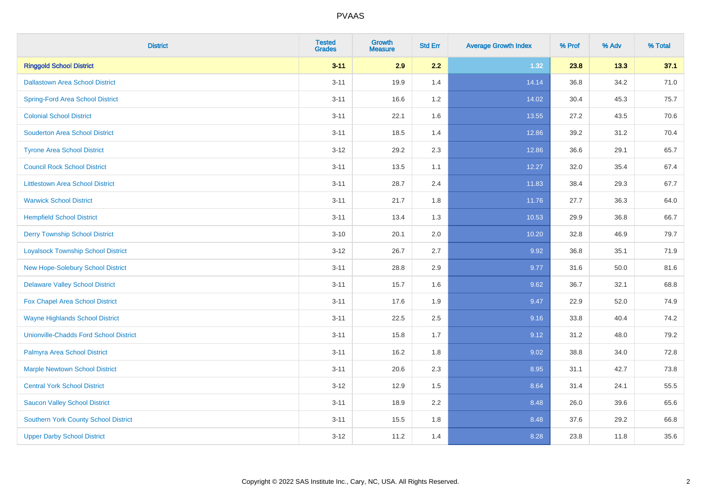| <b>District</b>                               | <b>Tested</b><br><b>Grades</b> | <b>Growth</b><br><b>Measure</b> | <b>Std Err</b> | <b>Average Growth Index</b> | % Prof | % Adv | % Total |
|-----------------------------------------------|--------------------------------|---------------------------------|----------------|-----------------------------|--------|-------|---------|
| <b>Ringgold School District</b>               | $3 - 11$                       | 2.9                             | 2.2            | 1.32                        | 23.8   | 13.3  | 37.1    |
| <b>Dallastown Area School District</b>        | $3 - 11$                       | 19.9                            | 1.4            | 14.14                       | 36.8   | 34.2  | 71.0    |
| <b>Spring-Ford Area School District</b>       | $3 - 11$                       | 16.6                            | 1.2            | 14.02                       | 30.4   | 45.3  | 75.7    |
| <b>Colonial School District</b>               | $3 - 11$                       | 22.1                            | 1.6            | 13.55                       | 27.2   | 43.5  | 70.6    |
| <b>Souderton Area School District</b>         | $3 - 11$                       | 18.5                            | 1.4            | 12.86                       | 39.2   | 31.2  | 70.4    |
| <b>Tyrone Area School District</b>            | $3 - 12$                       | 29.2                            | 2.3            | 12.86                       | 36.6   | 29.1  | 65.7    |
| <b>Council Rock School District</b>           | $3 - 11$                       | 13.5                            | 1.1            | 12.27                       | 32.0   | 35.4  | 67.4    |
| <b>Littlestown Area School District</b>       | $3 - 11$                       | 28.7                            | 2.4            | 11.83                       | 38.4   | 29.3  | 67.7    |
| <b>Warwick School District</b>                | $3 - 11$                       | 21.7                            | 1.8            | 11.76                       | 27.7   | 36.3  | 64.0    |
| <b>Hempfield School District</b>              | $3 - 11$                       | 13.4                            | 1.3            | 10.53                       | 29.9   | 36.8  | 66.7    |
| <b>Derry Township School District</b>         | $3 - 10$                       | 20.1                            | 2.0            | 10.20                       | 32.8   | 46.9  | 79.7    |
| <b>Loyalsock Township School District</b>     | $3 - 12$                       | 26.7                            | 2.7            | 9.92                        | 36.8   | 35.1  | 71.9    |
| New Hope-Solebury School District             | $3 - 11$                       | 28.8                            | 2.9            | 9.77                        | 31.6   | 50.0  | 81.6    |
| <b>Delaware Valley School District</b>        | $3 - 11$                       | 15.7                            | 1.6            | 9.62                        | 36.7   | 32.1  | 68.8    |
| Fox Chapel Area School District               | $3 - 11$                       | 17.6                            | 1.9            | 9.47                        | 22.9   | 52.0  | 74.9    |
| <b>Wayne Highlands School District</b>        | $3 - 11$                       | 22.5                            | 2.5            | 9.16                        | 33.8   | 40.4  | 74.2    |
| <b>Unionville-Chadds Ford School District</b> | $3 - 11$                       | 15.8                            | 1.7            | 9.12                        | 31.2   | 48.0  | 79.2    |
| Palmyra Area School District                  | $3 - 11$                       | 16.2                            | 1.8            | 9.02                        | 38.8   | 34.0  | 72.8    |
| <b>Marple Newtown School District</b>         | $3 - 11$                       | 20.6                            | 2.3            | 8.95                        | 31.1   | 42.7  | 73.8    |
| <b>Central York School District</b>           | $3 - 12$                       | 12.9                            | 1.5            | 8.64                        | 31.4   | 24.1  | 55.5    |
| <b>Saucon Valley School District</b>          | $3 - 11$                       | 18.9                            | 2.2            | 8.48                        | 26.0   | 39.6  | 65.6    |
| <b>Southern York County School District</b>   | $3 - 11$                       | 15.5                            | 1.8            | 8.48                        | 37.6   | 29.2  | 66.8    |
| <b>Upper Darby School District</b>            | $3 - 12$                       | 11.2                            | 1.4            | 8.28                        | 23.8   | 11.8  | 35.6    |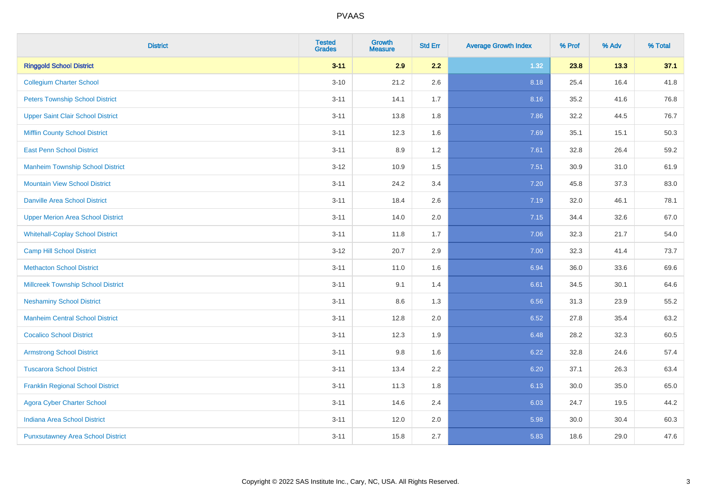| <b>District</b>                           | <b>Tested</b><br><b>Grades</b> | <b>Growth</b><br><b>Measure</b> | <b>Std Err</b> | <b>Average Growth Index</b> | % Prof | % Adv | % Total |
|-------------------------------------------|--------------------------------|---------------------------------|----------------|-----------------------------|--------|-------|---------|
| <b>Ringgold School District</b>           | $3 - 11$                       | 2.9                             | 2.2            | 1.32                        | 23.8   | 13.3  | 37.1    |
| <b>Collegium Charter School</b>           | $3 - 10$                       | 21.2                            | 2.6            | 8.18                        | 25.4   | 16.4  | 41.8    |
| <b>Peters Township School District</b>    | $3 - 11$                       | 14.1                            | 1.7            | 8.16                        | 35.2   | 41.6  | 76.8    |
| <b>Upper Saint Clair School District</b>  | $3 - 11$                       | 13.8                            | 1.8            | 7.86                        | 32.2   | 44.5  | 76.7    |
| <b>Mifflin County School District</b>     | $3 - 11$                       | 12.3                            | 1.6            | 7.69                        | 35.1   | 15.1  | 50.3    |
| <b>East Penn School District</b>          | $3 - 11$                       | 8.9                             | 1.2            | 7.61                        | 32.8   | 26.4  | 59.2    |
| <b>Manheim Township School District</b>   | $3-12$                         | 10.9                            | 1.5            | 7.51                        | 30.9   | 31.0  | 61.9    |
| <b>Mountain View School District</b>      | $3 - 11$                       | 24.2                            | 3.4            | 7.20                        | 45.8   | 37.3  | 83.0    |
| <b>Danville Area School District</b>      | $3 - 11$                       | 18.4                            | 2.6            | 7.19                        | 32.0   | 46.1  | 78.1    |
| <b>Upper Merion Area School District</b>  | $3 - 11$                       | 14.0                            | 2.0            | 7.15                        | 34.4   | 32.6  | 67.0    |
| <b>Whitehall-Coplay School District</b>   | $3 - 11$                       | 11.8                            | 1.7            | 7.06                        | 32.3   | 21.7  | 54.0    |
| <b>Camp Hill School District</b>          | $3 - 12$                       | 20.7                            | 2.9            | 7.00                        | 32.3   | 41.4  | 73.7    |
| <b>Methacton School District</b>          | $3 - 11$                       | 11.0                            | 1.6            | 6.94                        | 36.0   | 33.6  | 69.6    |
| <b>Millcreek Township School District</b> | $3 - 11$                       | 9.1                             | 1.4            | 6.61                        | 34.5   | 30.1  | 64.6    |
| <b>Neshaminy School District</b>          | $3 - 11$                       | 8.6                             | 1.3            | 6.56                        | 31.3   | 23.9  | 55.2    |
| <b>Manheim Central School District</b>    | $3 - 11$                       | 12.8                            | 2.0            | 6.52                        | 27.8   | 35.4  | 63.2    |
| <b>Cocalico School District</b>           | $3 - 11$                       | 12.3                            | 1.9            | 6.48                        | 28.2   | 32.3  | 60.5    |
| <b>Armstrong School District</b>          | $3 - 11$                       | 9.8                             | 1.6            | 6.22                        | 32.8   | 24.6  | 57.4    |
| <b>Tuscarora School District</b>          | $3 - 11$                       | 13.4                            | 2.2            | 6.20                        | 37.1   | 26.3  | 63.4    |
| <b>Franklin Regional School District</b>  | $3 - 11$                       | 11.3                            | 1.8            | 6.13                        | 30.0   | 35.0  | 65.0    |
| <b>Agora Cyber Charter School</b>         | $3 - 11$                       | 14.6                            | 2.4            | 6.03                        | 24.7   | 19.5  | 44.2    |
| <b>Indiana Area School District</b>       | $3 - 11$                       | 12.0                            | 2.0            | 5.98                        | 30.0   | 30.4  | 60.3    |
| <b>Punxsutawney Area School District</b>  | $3 - 11$                       | 15.8                            | 2.7            | 5.83                        | 18.6   | 29.0  | 47.6    |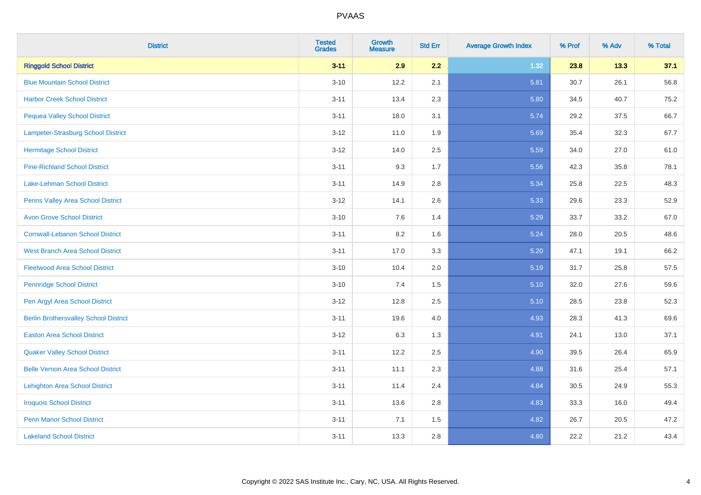| <b>District</b>                              | <b>Tested</b><br><b>Grades</b> | <b>Growth</b><br><b>Measure</b> | <b>Std Err</b> | <b>Average Growth Index</b> | % Prof | % Adv | % Total |
|----------------------------------------------|--------------------------------|---------------------------------|----------------|-----------------------------|--------|-------|---------|
| <b>Ringgold School District</b>              | $3 - 11$                       | 2.9                             | 2.2            | 1.32                        | 23.8   | 13.3  | 37.1    |
| <b>Blue Mountain School District</b>         | $3 - 10$                       | 12.2                            | 2.1            | 5.81                        | 30.7   | 26.1  | 56.8    |
| <b>Harbor Creek School District</b>          | $3 - 11$                       | 13.4                            | 2.3            | 5.80                        | 34.5   | 40.7  | 75.2    |
| <b>Pequea Valley School District</b>         | $3 - 11$                       | 18.0                            | 3.1            | 5.74                        | 29.2   | 37.5  | 66.7    |
| Lampeter-Strasburg School District           | $3 - 12$                       | 11.0                            | 1.9            | 5.69                        | 35.4   | 32.3  | 67.7    |
| <b>Hermitage School District</b>             | $3 - 12$                       | 14.0                            | 2.5            | 5.59                        | 34.0   | 27.0  | 61.0    |
| <b>Pine-Richland School District</b>         | $3 - 11$                       | 9.3                             | 1.7            | 5.56                        | 42.3   | 35.8  | 78.1    |
| <b>Lake-Lehman School District</b>           | $3 - 11$                       | 14.9                            | 2.8            | 5.34                        | 25.8   | 22.5  | 48.3    |
| Penns Valley Area School District            | $3 - 12$                       | 14.1                            | 2.6            | 5.33                        | 29.6   | 23.3  | 52.9    |
| <b>Avon Grove School District</b>            | $3 - 10$                       | 7.6                             | 1.4            | 5.29                        | 33.7   | 33.2  | 67.0    |
| <b>Cornwall-Lebanon School District</b>      | $3 - 11$                       | 8.2                             | 1.6            | 5.24                        | 28.0   | 20.5  | 48.6    |
| West Branch Area School District             | $3 - 11$                       | 17.0                            | 3.3            | 5.20                        | 47.1   | 19.1  | 66.2    |
| <b>Fleetwood Area School District</b>        | $3 - 10$                       | 10.4                            | 2.0            | 5.19                        | 31.7   | 25.8  | 57.5    |
| <b>Pennridge School District</b>             | $3 - 10$                       | 7.4                             | 1.5            | 5.10                        | 32.0   | 27.6  | 59.6    |
| Pen Argyl Area School District               | $3 - 12$                       | 12.8                            | 2.5            | 5.10                        | 28.5   | 23.8  | 52.3    |
| <b>Berlin Brothersvalley School District</b> | $3 - 11$                       | 19.6                            | 4.0            | 4.93                        | 28.3   | 41.3  | 69.6    |
| <b>Easton Area School District</b>           | $3-12$                         | 6.3                             | 1.3            | 4.91                        | 24.1   | 13.0  | 37.1    |
| <b>Quaker Valley School District</b>         | $3 - 11$                       | 12.2                            | 2.5            | 4.90                        | 39.5   | 26.4  | 65.9    |
| <b>Belle Vernon Area School District</b>     | $3 - 11$                       | 11.1                            | 2.3            | 4.88                        | 31.6   | 25.4  | 57.1    |
| <b>Lehighton Area School District</b>        | $3 - 11$                       | 11.4                            | 2.4            | 4.84                        | 30.5   | 24.9  | 55.3    |
| <b>Iroquois School District</b>              | $3 - 11$                       | 13.6                            | 2.8            | 4.83                        | 33.3   | 16.0  | 49.4    |
| <b>Penn Manor School District</b>            | $3 - 11$                       | 7.1                             | 1.5            | 4.82                        | 26.7   | 20.5  | 47.2    |
| <b>Lakeland School District</b>              | $3 - 11$                       | 13.3                            | 2.8            | 4.80                        | 22.2   | 21.2  | 43.4    |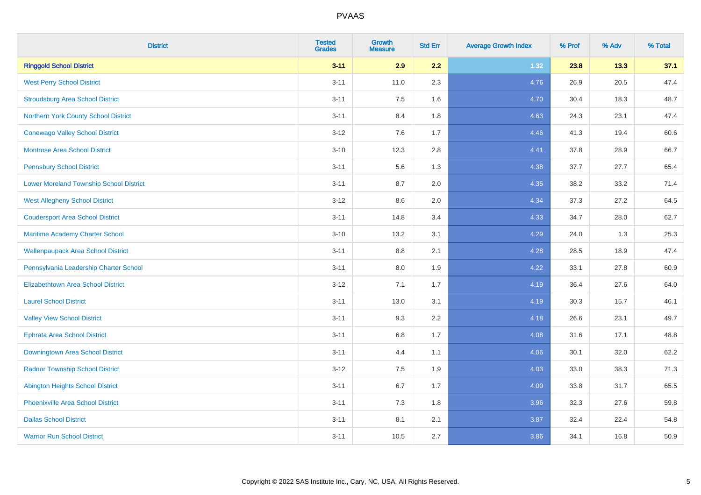| <b>District</b>                                | <b>Tested</b><br><b>Grades</b> | <b>Growth</b><br><b>Measure</b> | <b>Std Err</b> | <b>Average Growth Index</b> | % Prof | % Adv | % Total |
|------------------------------------------------|--------------------------------|---------------------------------|----------------|-----------------------------|--------|-------|---------|
| <b>Ringgold School District</b>                | $3 - 11$                       | 2.9                             | 2.2            | 1.32                        | 23.8   | 13.3  | 37.1    |
| <b>West Perry School District</b>              | $3 - 11$                       | 11.0                            | 2.3            | 4.76                        | 26.9   | 20.5  | 47.4    |
| <b>Stroudsburg Area School District</b>        | $3 - 11$                       | 7.5                             | 1.6            | 4.70                        | 30.4   | 18.3  | 48.7    |
| Northern York County School District           | $3 - 11$                       | 8.4                             | 1.8            | 4.63                        | 24.3   | 23.1  | 47.4    |
| <b>Conewago Valley School District</b>         | $3 - 12$                       | 7.6                             | 1.7            | 4.46                        | 41.3   | 19.4  | 60.6    |
| <b>Montrose Area School District</b>           | $3 - 10$                       | 12.3                            | 2.8            | 4.41                        | 37.8   | 28.9  | 66.7    |
| <b>Pennsbury School District</b>               | $3 - 11$                       | 5.6                             | 1.3            | 4.38                        | 37.7   | 27.7  | 65.4    |
| <b>Lower Moreland Township School District</b> | $3 - 11$                       | 8.7                             | 2.0            | 4.35                        | 38.2   | 33.2  | 71.4    |
| <b>West Allegheny School District</b>          | $3-12$                         | 8.6                             | 2.0            | 4.34                        | 37.3   | 27.2  | 64.5    |
| <b>Coudersport Area School District</b>        | $3 - 11$                       | 14.8                            | 3.4            | 4.33                        | 34.7   | 28.0  | 62.7    |
| Maritime Academy Charter School                | $3 - 10$                       | 13.2                            | 3.1            | 4.29                        | 24.0   | 1.3   | 25.3    |
| <b>Wallenpaupack Area School District</b>      | $3 - 11$                       | 8.8                             | 2.1            | 4.28                        | 28.5   | 18.9  | 47.4    |
| Pennsylvania Leadership Charter School         | $3 - 11$                       | 8.0                             | 1.9            | 4.22                        | 33.1   | 27.8  | 60.9    |
| <b>Elizabethtown Area School District</b>      | $3-12$                         | 7.1                             | 1.7            | 4.19                        | 36.4   | 27.6  | 64.0    |
| <b>Laurel School District</b>                  | $3 - 11$                       | 13.0                            | 3.1            | 4.19                        | 30.3   | 15.7  | 46.1    |
| <b>Valley View School District</b>             | $3 - 11$                       | 9.3                             | 2.2            | 4.18                        | 26.6   | 23.1  | 49.7    |
| <b>Ephrata Area School District</b>            | $3 - 11$                       | 6.8                             | 1.7            | 4.08                        | 31.6   | 17.1  | 48.8    |
| Downingtown Area School District               | $3 - 11$                       | 4.4                             | 1.1            | 4.06                        | 30.1   | 32.0  | 62.2    |
| <b>Radnor Township School District</b>         | $3 - 12$                       | 7.5                             | 1.9            | 4.03                        | 33.0   | 38.3  | 71.3    |
| <b>Abington Heights School District</b>        | $3 - 11$                       | 6.7                             | 1.7            | 4.00                        | 33.8   | 31.7  | 65.5    |
| <b>Phoenixville Area School District</b>       | $3 - 11$                       | 7.3                             | 1.8            | 3.96                        | 32.3   | 27.6  | 59.8    |
| <b>Dallas School District</b>                  | $3 - 11$                       | 8.1                             | 2.1            | 3.87                        | 32.4   | 22.4  | 54.8    |
| <b>Warrior Run School District</b>             | $3 - 11$                       | 10.5                            | 2.7            | 3.86                        | 34.1   | 16.8  | 50.9    |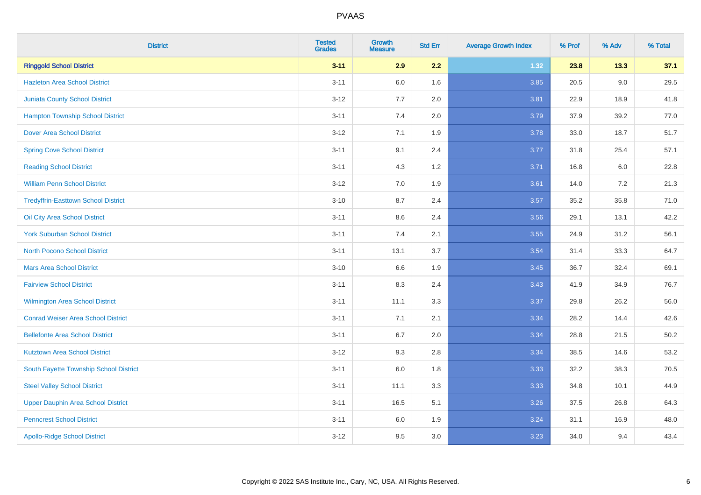| <b>District</b>                            | <b>Tested</b><br><b>Grades</b> | <b>Growth</b><br><b>Measure</b> | <b>Std Err</b> | <b>Average Growth Index</b> | % Prof | % Adv   | % Total  |
|--------------------------------------------|--------------------------------|---------------------------------|----------------|-----------------------------|--------|---------|----------|
| <b>Ringgold School District</b>            | $3 - 11$                       | 2.9                             | 2.2            | 1.32                        | 23.8   | 13.3    | 37.1     |
| <b>Hazleton Area School District</b>       | $3 - 11$                       | 6.0                             | 1.6            | 3.85                        | 20.5   | $9.0\,$ | 29.5     |
| <b>Juniata County School District</b>      | $3 - 12$                       | 7.7                             | 2.0            | 3.81                        | 22.9   | 18.9    | 41.8     |
| <b>Hampton Township School District</b>    | $3 - 11$                       | 7.4                             | 2.0            | 3.79                        | 37.9   | 39.2    | 77.0     |
| <b>Dover Area School District</b>          | $3-12$                         | 7.1                             | 1.9            | 3.78                        | 33.0   | 18.7    | 51.7     |
| <b>Spring Cove School District</b>         | $3 - 11$                       | 9.1                             | 2.4            | 3.77                        | 31.8   | 25.4    | 57.1     |
| <b>Reading School District</b>             | $3 - 11$                       | 4.3                             | 1.2            | 3.71                        | 16.8   | 6.0     | 22.8     |
| <b>William Penn School District</b>        | $3-12$                         | 7.0                             | 1.9            | 3.61                        | 14.0   | $7.2\,$ | 21.3     |
| <b>Tredyffrin-Easttown School District</b> | $3 - 10$                       | 8.7                             | 2.4            | 3.57                        | 35.2   | 35.8    | 71.0     |
| Oil City Area School District              | $3 - 11$                       | 8.6                             | 2.4            | 3.56                        | 29.1   | 13.1    | 42.2     |
| <b>York Suburban School District</b>       | $3 - 11$                       | 7.4                             | 2.1            | 3.55                        | 24.9   | 31.2    | 56.1     |
| <b>North Pocono School District</b>        | $3 - 11$                       | 13.1                            | 3.7            | 3.54                        | 31.4   | 33.3    | 64.7     |
| <b>Mars Area School District</b>           | $3 - 10$                       | 6.6                             | 1.9            | 3.45                        | 36.7   | 32.4    | 69.1     |
| <b>Fairview School District</b>            | $3 - 11$                       | 8.3                             | 2.4            | 3.43                        | 41.9   | 34.9    | 76.7     |
| Wilmington Area School District            | $3 - 11$                       | 11.1                            | 3.3            | 3.37                        | 29.8   | 26.2    | 56.0     |
| <b>Conrad Weiser Area School District</b>  | $3 - 11$                       | 7.1                             | 2.1            | 3.34                        | 28.2   | 14.4    | 42.6     |
| <b>Bellefonte Area School District</b>     | $3 - 11$                       | 6.7                             | 2.0            | 3.34                        | 28.8   | 21.5    | $50.2\,$ |
| <b>Kutztown Area School District</b>       | $3-12$                         | 9.3                             | 2.8            | 3.34                        | 38.5   | 14.6    | 53.2     |
| South Fayette Township School District     | $3 - 11$                       | 6.0                             | 1.8            | 3.33                        | 32.2   | 38.3    | 70.5     |
| <b>Steel Valley School District</b>        | $3 - 11$                       | 11.1                            | 3.3            | 3.33                        | 34.8   | 10.1    | 44.9     |
| <b>Upper Dauphin Area School District</b>  | $3 - 11$                       | 16.5                            | 5.1            | 3.26                        | 37.5   | 26.8    | 64.3     |
| <b>Penncrest School District</b>           | $3 - 11$                       | 6.0                             | 1.9            | 3.24                        | 31.1   | 16.9    | 48.0     |
| <b>Apollo-Ridge School District</b>        | $3 - 12$                       | 9.5                             | 3.0            | 3.23                        | 34.0   | 9.4     | 43.4     |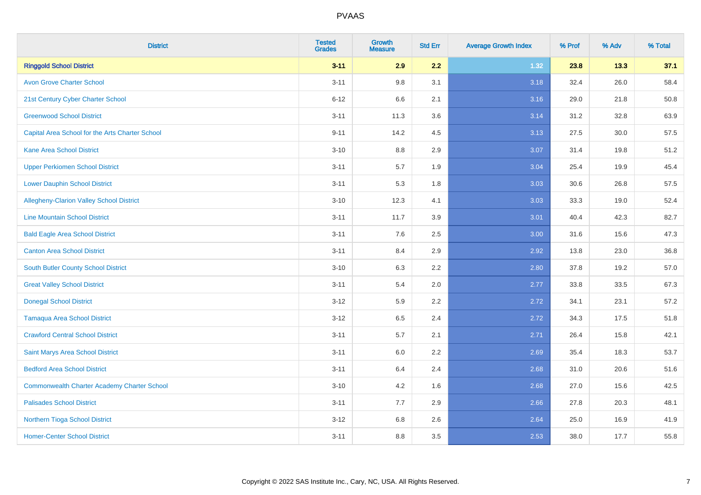| <b>District</b>                                    | <b>Tested</b><br><b>Grades</b> | <b>Growth</b><br><b>Measure</b> | <b>Std Err</b> | <b>Average Growth Index</b> | % Prof | % Adv | % Total |
|----------------------------------------------------|--------------------------------|---------------------------------|----------------|-----------------------------|--------|-------|---------|
| <b>Ringgold School District</b>                    | $3 - 11$                       | 2.9                             | 2.2            | 1.32                        | 23.8   | 13.3  | 37.1    |
| <b>Avon Grove Charter School</b>                   | $3 - 11$                       | 9.8                             | 3.1            | 3.18                        | 32.4   | 26.0  | 58.4    |
| 21st Century Cyber Charter School                  | $6 - 12$                       | 6.6                             | 2.1            | 3.16                        | 29.0   | 21.8  | 50.8    |
| <b>Greenwood School District</b>                   | $3 - 11$                       | 11.3                            | 3.6            | 3.14                        | 31.2   | 32.8  | 63.9    |
| Capital Area School for the Arts Charter School    | $9 - 11$                       | 14.2                            | 4.5            | 3.13                        | 27.5   | 30.0  | 57.5    |
| <b>Kane Area School District</b>                   | $3 - 10$                       | 8.8                             | 2.9            | 3.07                        | 31.4   | 19.8  | 51.2    |
| <b>Upper Perkiomen School District</b>             | $3 - 11$                       | 5.7                             | 1.9            | 3.04                        | 25.4   | 19.9  | 45.4    |
| <b>Lower Dauphin School District</b>               | $3 - 11$                       | 5.3                             | 1.8            | 3.03                        | 30.6   | 26.8  | 57.5    |
| <b>Allegheny-Clarion Valley School District</b>    | $3 - 10$                       | 12.3                            | 4.1            | 3.03                        | 33.3   | 19.0  | 52.4    |
| <b>Line Mountain School District</b>               | $3 - 11$                       | 11.7                            | 3.9            | 3.01                        | 40.4   | 42.3  | 82.7    |
| <b>Bald Eagle Area School District</b>             | $3 - 11$                       | 7.6                             | 2.5            | 3.00                        | 31.6   | 15.6  | 47.3    |
| <b>Canton Area School District</b>                 | $3 - 11$                       | 8.4                             | 2.9            | 2.92                        | 13.8   | 23.0  | 36.8    |
| South Butler County School District                | $3 - 10$                       | 6.3                             | 2.2            | 2.80                        | 37.8   | 19.2  | 57.0    |
| <b>Great Valley School District</b>                | $3 - 11$                       | 5.4                             | 2.0            | 2.77                        | 33.8   | 33.5  | 67.3    |
| <b>Donegal School District</b>                     | $3-12$                         | 5.9                             | 2.2            | 2.72                        | 34.1   | 23.1  | 57.2    |
| <b>Tamaqua Area School District</b>                | $3-12$                         | 6.5                             | 2.4            | 2.72                        | 34.3   | 17.5  | 51.8    |
| <b>Crawford Central School District</b>            | $3 - 11$                       | 5.7                             | 2.1            | 2.71                        | 26.4   | 15.8  | 42.1    |
| Saint Marys Area School District                   | $3 - 11$                       | 6.0                             | 2.2            | 2.69                        | 35.4   | 18.3  | 53.7    |
| <b>Bedford Area School District</b>                | $3 - 11$                       | 6.4                             | 2.4            | 2.68                        | 31.0   | 20.6  | 51.6    |
| <b>Commonwealth Charter Academy Charter School</b> | $3 - 10$                       | 4.2                             | 1.6            | 2.68                        | 27.0   | 15.6  | 42.5    |
| <b>Palisades School District</b>                   | $3 - 11$                       | 7.7                             | 2.9            | 2.66                        | 27.8   | 20.3  | 48.1    |
| Northern Tioga School District                     | $3 - 12$                       | 6.8                             | 2.6            | 2.64                        | 25.0   | 16.9  | 41.9    |
| <b>Homer-Center School District</b>                | $3 - 11$                       | 8.8                             | 3.5            | 2.53                        | 38.0   | 17.7  | 55.8    |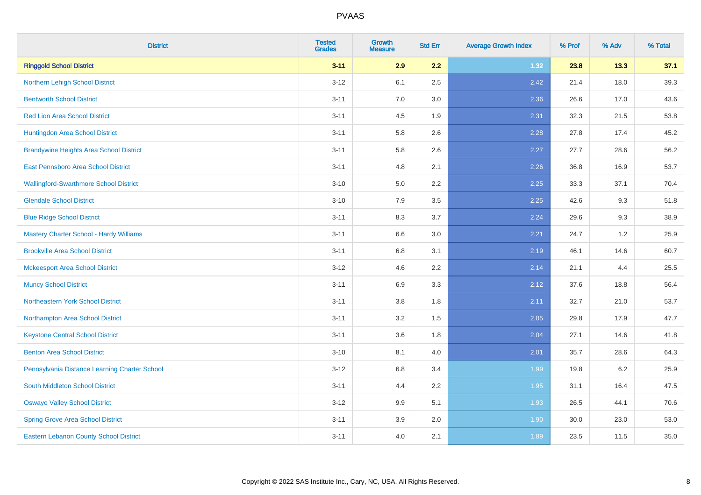| <b>District</b>                                | <b>Tested</b><br><b>Grades</b> | <b>Growth</b><br><b>Measure</b> | <b>Std Err</b> | <b>Average Growth Index</b> | % Prof | % Adv | % Total |
|------------------------------------------------|--------------------------------|---------------------------------|----------------|-----------------------------|--------|-------|---------|
| <b>Ringgold School District</b>                | $3 - 11$                       | 2.9                             | 2.2            | 1.32                        | 23.8   | 13.3  | 37.1    |
| Northern Lehigh School District                | $3 - 12$                       | 6.1                             | 2.5            | 2.42                        | 21.4   | 18.0  | 39.3    |
| <b>Bentworth School District</b>               | $3 - 11$                       | 7.0                             | 3.0            | 2.36                        | 26.6   | 17.0  | 43.6    |
| <b>Red Lion Area School District</b>           | $3 - 11$                       | 4.5                             | 1.9            | 2.31                        | 32.3   | 21.5  | 53.8    |
| Huntingdon Area School District                | $3 - 11$                       | 5.8                             | 2.6            | 2.28                        | 27.8   | 17.4  | 45.2    |
| <b>Brandywine Heights Area School District</b> | $3 - 11$                       | 5.8                             | 2.6            | 2.27                        | 27.7   | 28.6  | 56.2    |
| East Pennsboro Area School District            | $3 - 11$                       | 4.8                             | 2.1            | 2.26                        | 36.8   | 16.9  | 53.7    |
| <b>Wallingford-Swarthmore School District</b>  | $3 - 10$                       | 5.0                             | 2.2            | 2.25                        | 33.3   | 37.1  | 70.4    |
| <b>Glendale School District</b>                | $3 - 10$                       | 7.9                             | 3.5            | 2.25                        | 42.6   | 9.3   | 51.8    |
| <b>Blue Ridge School District</b>              | $3 - 11$                       | 8.3                             | 3.7            | 2.24                        | 29.6   | 9.3   | 38.9    |
| Mastery Charter School - Hardy Williams        | $3 - 11$                       | 6.6                             | 3.0            | 2.21                        | 24.7   | 1.2   | 25.9    |
| <b>Brookville Area School District</b>         | $3 - 11$                       | 6.8                             | 3.1            | 2.19                        | 46.1   | 14.6  | 60.7    |
| <b>Mckeesport Area School District</b>         | $3 - 12$                       | 4.6                             | 2.2            | 2.14                        | 21.1   | 4.4   | 25.5    |
| <b>Muncy School District</b>                   | $3 - 11$                       | 6.9                             | 3.3            | 2.12                        | 37.6   | 18.8  | 56.4    |
| <b>Northeastern York School District</b>       | $3 - 11$                       | 3.8                             | 1.8            | 2.11                        | 32.7   | 21.0  | 53.7    |
| Northampton Area School District               | $3 - 11$                       | 3.2                             | 1.5            | 2.05                        | 29.8   | 17.9  | 47.7    |
| <b>Keystone Central School District</b>        | $3 - 11$                       | 3.6                             | 1.8            | 2.04                        | 27.1   | 14.6  | 41.8    |
| <b>Benton Area School District</b>             | $3 - 10$                       | 8.1                             | 4.0            | 2.01                        | 35.7   | 28.6  | 64.3    |
| Pennsylvania Distance Learning Charter School  | $3 - 12$                       | 6.8                             | 3.4            | 1.99                        | 19.8   | 6.2   | 25.9    |
| <b>South Middleton School District</b>         | $3 - 11$                       | 4.4                             | 2.2            | 1.95                        | 31.1   | 16.4  | 47.5    |
| <b>Oswayo Valley School District</b>           | $3-12$                         | 9.9                             | 5.1            | 1.93                        | 26.5   | 44.1  | 70.6    |
| <b>Spring Grove Area School District</b>       | $3 - 11$                       | 3.9                             | 2.0            | 1.90                        | 30.0   | 23.0  | 53.0    |
| <b>Eastern Lebanon County School District</b>  | $3 - 11$                       | 4.0                             | 2.1            | 1.89                        | 23.5   | 11.5  | 35.0    |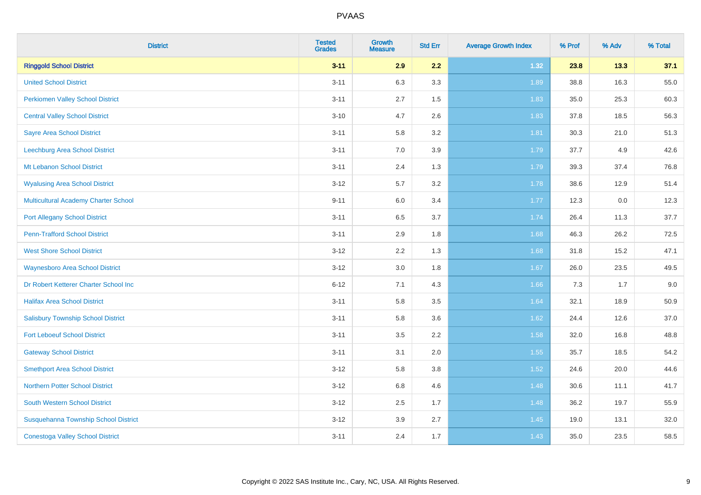| <b>District</b>                             | <b>Tested</b><br><b>Grades</b> | <b>Growth</b><br><b>Measure</b> | <b>Std Err</b> | <b>Average Growth Index</b> | % Prof | % Adv | % Total |
|---------------------------------------------|--------------------------------|---------------------------------|----------------|-----------------------------|--------|-------|---------|
| <b>Ringgold School District</b>             | $3 - 11$                       | 2.9                             | 2.2            | 1.32                        | 23.8   | 13.3  | 37.1    |
| <b>United School District</b>               | $3 - 11$                       | 6.3                             | 3.3            | 1.89                        | 38.8   | 16.3  | 55.0    |
| <b>Perkiomen Valley School District</b>     | $3 - 11$                       | 2.7                             | 1.5            | 1.83                        | 35.0   | 25.3  | 60.3    |
| <b>Central Valley School District</b>       | $3 - 10$                       | 4.7                             | 2.6            | 1.83                        | 37.8   | 18.5  | 56.3    |
| <b>Sayre Area School District</b>           | $3 - 11$                       | 5.8                             | 3.2            | 1.81                        | 30.3   | 21.0  | 51.3    |
| Leechburg Area School District              | $3 - 11$                       | 7.0                             | 3.9            | 1.79                        | 37.7   | 4.9   | 42.6    |
| Mt Lebanon School District                  | $3 - 11$                       | 2.4                             | 1.3            | 1.79                        | 39.3   | 37.4  | 76.8    |
| <b>Wyalusing Area School District</b>       | $3 - 12$                       | 5.7                             | 3.2            | 1.78                        | 38.6   | 12.9  | 51.4    |
| <b>Multicultural Academy Charter School</b> | $9 - 11$                       | 6.0                             | 3.4            | 1.77                        | 12.3   | 0.0   | 12.3    |
| <b>Port Allegany School District</b>        | $3 - 11$                       | 6.5                             | 3.7            | 1.74                        | 26.4   | 11.3  | 37.7    |
| <b>Penn-Trafford School District</b>        | $3 - 11$                       | 2.9                             | 1.8            | 1.68                        | 46.3   | 26.2  | 72.5    |
| <b>West Shore School District</b>           | $3 - 12$                       | 2.2                             | 1.3            | 1.68                        | 31.8   | 15.2  | 47.1    |
| <b>Waynesboro Area School District</b>      | $3 - 12$                       | $3.0\,$                         | 1.8            | 1.67                        | 26.0   | 23.5  | 49.5    |
| Dr Robert Ketterer Charter School Inc       | $6 - 12$                       | 7.1                             | 4.3            | 1.66                        | 7.3    | 1.7   | 9.0     |
| <b>Halifax Area School District</b>         | $3 - 11$                       | 5.8                             | 3.5            | 1.64                        | 32.1   | 18.9  | 50.9    |
| <b>Salisbury Township School District</b>   | $3 - 11$                       | 5.8                             | 3.6            | 1.62                        | 24.4   | 12.6  | 37.0    |
| <b>Fort Leboeuf School District</b>         | $3 - 11$                       | 3.5                             | 2.2            | 1.58                        | 32.0   | 16.8  | 48.8    |
| <b>Gateway School District</b>              | $3 - 11$                       | 3.1                             | 2.0            | 1.55                        | 35.7   | 18.5  | 54.2    |
| <b>Smethport Area School District</b>       | $3 - 12$                       | 5.8                             | 3.8            | 1.52                        | 24.6   | 20.0  | 44.6    |
| <b>Northern Potter School District</b>      | $3 - 12$                       | $6.8\,$                         | 4.6            | 1.48                        | 30.6   | 11.1  | 41.7    |
| South Western School District               | $3 - 12$                       | 2.5                             | 1.7            | 1.48                        | 36.2   | 19.7  | 55.9    |
| Susquehanna Township School District        | $3 - 12$                       | 3.9                             | 2.7            | 1.45                        | 19.0   | 13.1  | 32.0    |
| <b>Conestoga Valley School District</b>     | $3 - 11$                       | 2.4                             | 1.7            | 1.43                        | 35.0   | 23.5  | 58.5    |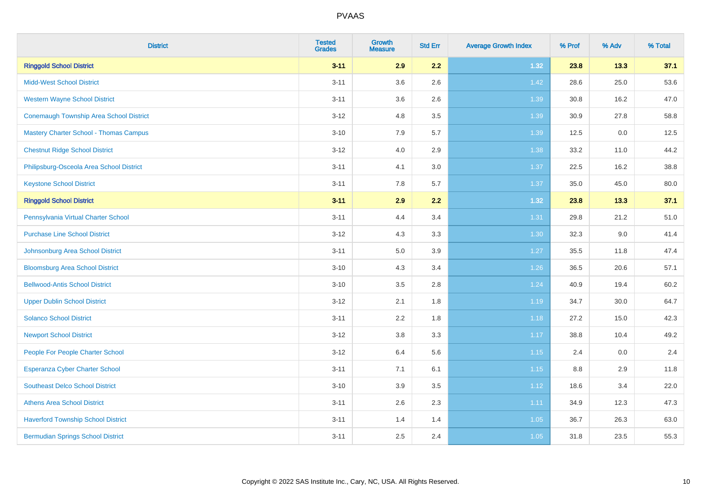| <b>District</b>                                | <b>Tested</b><br><b>Grades</b> | <b>Growth</b><br><b>Measure</b> | <b>Std Err</b> | <b>Average Growth Index</b> | % Prof | % Adv | % Total |
|------------------------------------------------|--------------------------------|---------------------------------|----------------|-----------------------------|--------|-------|---------|
| <b>Ringgold School District</b>                | $3 - 11$                       | 2.9                             | 2.2            | 1.32                        | 23.8   | 13.3  | 37.1    |
| <b>Midd-West School District</b>               | $3 - 11$                       | 3.6                             | 2.6            | 1.42                        | 28.6   | 25.0  | 53.6    |
| <b>Western Wayne School District</b>           | $3 - 11$                       | 3.6                             | 2.6            | 1.39                        | 30.8   | 16.2  | 47.0    |
| <b>Conemaugh Township Area School District</b> | $3 - 12$                       | 4.8                             | 3.5            | 1.39                        | 30.9   | 27.8  | 58.8    |
| <b>Mastery Charter School - Thomas Campus</b>  | $3 - 10$                       | 7.9                             | 5.7            | 1.39                        | 12.5   | 0.0   | 12.5    |
| <b>Chestnut Ridge School District</b>          | $3 - 12$                       | 4.0                             | 2.9            | 1.38                        | 33.2   | 11.0  | 44.2    |
| Philipsburg-Osceola Area School District       | $3 - 11$                       | 4.1                             | 3.0            | 1.37                        | 22.5   | 16.2  | 38.8    |
| <b>Keystone School District</b>                | $3 - 11$                       | 7.8                             | 5.7            | 1.37                        | 35.0   | 45.0  | 80.0    |
| <b>Ringgold School District</b>                | $3 - 11$                       | 2.9                             | 2.2            | 1.32                        | 23.8   | 13.3  | 37.1    |
| Pennsylvania Virtual Charter School            | $3 - 11$                       | 4.4                             | 3.4            | 1.31                        | 29.8   | 21.2  | 51.0    |
| <b>Purchase Line School District</b>           | $3 - 12$                       | 4.3                             | 3.3            | 1.30                        | 32.3   | 9.0   | 41.4    |
| Johnsonburg Area School District               | $3 - 11$                       | $5.0\,$                         | 3.9            | 1.27                        | 35.5   | 11.8  | 47.4    |
| <b>Bloomsburg Area School District</b>         | $3 - 10$                       | 4.3                             | 3.4            | $1.26$                      | 36.5   | 20.6  | 57.1    |
| <b>Bellwood-Antis School District</b>          | $3 - 10$                       | 3.5                             | 2.8            | 1.24                        | 40.9   | 19.4  | 60.2    |
| <b>Upper Dublin School District</b>            | $3 - 12$                       | 2.1                             | 1.8            | 1.19                        | 34.7   | 30.0  | 64.7    |
| <b>Solanco School District</b>                 | $3 - 11$                       | 2.2                             | 1.8            | 1.18                        | 27.2   | 15.0  | 42.3    |
| <b>Newport School District</b>                 | $3 - 12$                       | 3.8                             | 3.3            | 1.17                        | 38.8   | 10.4  | 49.2    |
| People For People Charter School               | $3 - 12$                       | 6.4                             | 5.6            | 1.15                        | 2.4    | 0.0   | 2.4     |
| <b>Esperanza Cyber Charter School</b>          | $3 - 11$                       | 7.1                             | 6.1            | 1.15                        | 8.8    | 2.9   | 11.8    |
| <b>Southeast Delco School District</b>         | $3 - 10$                       | 3.9                             | 3.5            | 1.12                        | 18.6   | 3.4   | 22.0    |
| <b>Athens Area School District</b>             | $3 - 11$                       | 2.6                             | 2.3            | 1.11                        | 34.9   | 12.3  | 47.3    |
| <b>Haverford Township School District</b>      | $3 - 11$                       | 1.4                             | 1.4            | 1.05                        | 36.7   | 26.3  | 63.0    |
| <b>Bermudian Springs School District</b>       | $3 - 11$                       | 2.5                             | 2.4            | 1.05                        | 31.8   | 23.5  | 55.3    |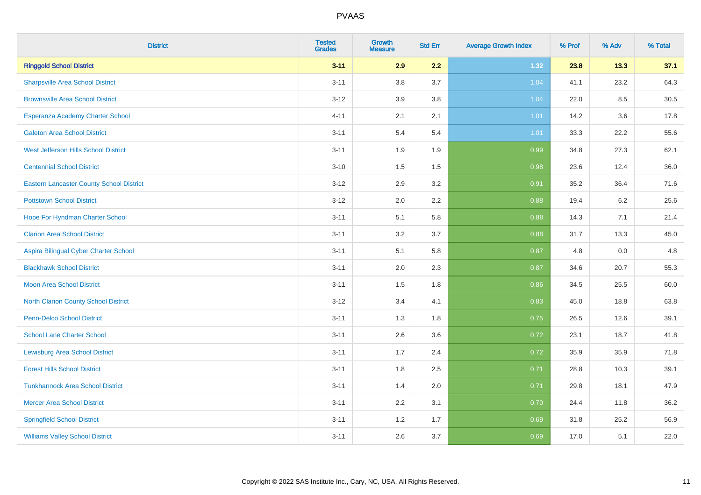| <b>District</b>                                 | <b>Tested</b><br><b>Grades</b> | <b>Growth</b><br><b>Measure</b> | <b>Std Err</b> | <b>Average Growth Index</b> | % Prof | % Adv | % Total |
|-------------------------------------------------|--------------------------------|---------------------------------|----------------|-----------------------------|--------|-------|---------|
| <b>Ringgold School District</b>                 | $3 - 11$                       | 2.9                             | 2.2            | 1.32                        | 23.8   | 13.3  | 37.1    |
| <b>Sharpsville Area School District</b>         | $3 - 11$                       | 3.8                             | 3.7            | 1.04                        | 41.1   | 23.2  | 64.3    |
| <b>Brownsville Area School District</b>         | $3 - 12$                       | 3.9                             | 3.8            | 1.04                        | 22.0   | 8.5   | 30.5    |
| Esperanza Academy Charter School                | $4 - 11$                       | 2.1                             | 2.1            | 1.01                        | 14.2   | 3.6   | 17.8    |
| <b>Galeton Area School District</b>             | $3 - 11$                       | 5.4                             | 5.4            | $1.01$                      | 33.3   | 22.2  | 55.6    |
| <b>West Jefferson Hills School District</b>     | $3 - 11$                       | 1.9                             | 1.9            | 0.99                        | 34.8   | 27.3  | 62.1    |
| <b>Centennial School District</b>               | $3 - 10$                       | 1.5                             | 1.5            | 0.98                        | 23.6   | 12.4  | 36.0    |
| <b>Eastern Lancaster County School District</b> | $3 - 12$                       | 2.9                             | 3.2            | 0.91                        | 35.2   | 36.4  | 71.6    |
| <b>Pottstown School District</b>                | $3 - 12$                       | 2.0                             | 2.2            | 0.88                        | 19.4   | 6.2   | 25.6    |
| Hope For Hyndman Charter School                 | $3 - 11$                       | 5.1                             | 5.8            | 0.88                        | 14.3   | 7.1   | 21.4    |
| <b>Clarion Area School District</b>             | $3 - 11$                       | 3.2                             | 3.7            | 0.88                        | 31.7   | 13.3  | 45.0    |
| Aspira Bilingual Cyber Charter School           | $3 - 11$                       | 5.1                             | 5.8            | 0.87                        | 4.8    | 0.0   | 4.8     |
| <b>Blackhawk School District</b>                | $3 - 11$                       | 2.0                             | 2.3            | 0.87                        | 34.6   | 20.7  | 55.3    |
| <b>Moon Area School District</b>                | $3 - 11$                       | 1.5                             | 1.8            | 0.86                        | 34.5   | 25.5  | 60.0    |
| <b>North Clarion County School District</b>     | $3 - 12$                       | 3.4                             | 4.1            | 0.83                        | 45.0   | 18.8  | 63.8    |
| <b>Penn-Delco School District</b>               | $3 - 11$                       | 1.3                             | 1.8            | 0.75                        | 26.5   | 12.6  | 39.1    |
| <b>School Lane Charter School</b>               | $3 - 11$                       | 2.6                             | 3.6            | 0.72                        | 23.1   | 18.7  | 41.8    |
| <b>Lewisburg Area School District</b>           | $3 - 11$                       | 1.7                             | 2.4            | 0.72                        | 35.9   | 35.9  | 71.8    |
| <b>Forest Hills School District</b>             | $3 - 11$                       | 1.8                             | 2.5            | 0.71                        | 28.8   | 10.3  | 39.1    |
| <b>Tunkhannock Area School District</b>         | $3 - 11$                       | 1.4                             | 2.0            | 0.71                        | 29.8   | 18.1  | 47.9    |
| <b>Mercer Area School District</b>              | $3 - 11$                       | $2.2\,$                         | 3.1            | 0.70                        | 24.4   | 11.8  | 36.2    |
| <b>Springfield School District</b>              | $3 - 11$                       | 1.2                             | 1.7            | 0.69                        | 31.8   | 25.2  | 56.9    |
| <b>Williams Valley School District</b>          | $3 - 11$                       | 2.6                             | 3.7            | 0.69                        | 17.0   | 5.1   | 22.0    |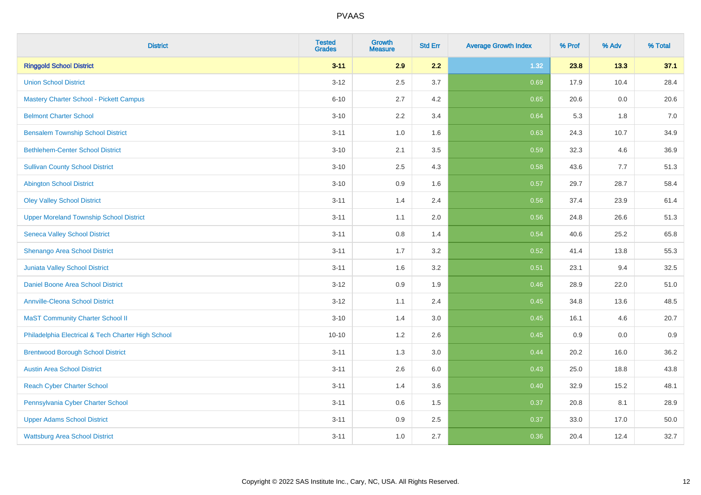| <b>District</b>                                    | <b>Tested</b><br><b>Grades</b> | <b>Growth</b><br><b>Measure</b> | <b>Std Err</b> | <b>Average Growth Index</b> | % Prof | % Adv | % Total |
|----------------------------------------------------|--------------------------------|---------------------------------|----------------|-----------------------------|--------|-------|---------|
| <b>Ringgold School District</b>                    | $3 - 11$                       | 2.9                             | 2.2            | 1.32                        | 23.8   | 13.3  | 37.1    |
| <b>Union School District</b>                       | $3 - 12$                       | 2.5                             | 3.7            | 0.69                        | 17.9   | 10.4  | 28.4    |
| <b>Mastery Charter School - Pickett Campus</b>     | $6 - 10$                       | 2.7                             | 4.2            | 0.65                        | 20.6   | 0.0   | 20.6    |
| <b>Belmont Charter School</b>                      | $3 - 10$                       | 2.2                             | 3.4            | 0.64                        | 5.3    | 1.8   | $7.0$   |
| <b>Bensalem Township School District</b>           | $3 - 11$                       | 1.0                             | 1.6            | 0.63                        | 24.3   | 10.7  | 34.9    |
| <b>Bethlehem-Center School District</b>            | $3 - 10$                       | 2.1                             | 3.5            | 0.59                        | 32.3   | 4.6   | 36.9    |
| <b>Sullivan County School District</b>             | $3 - 10$                       | 2.5                             | 4.3            | 0.58                        | 43.6   | 7.7   | 51.3    |
| <b>Abington School District</b>                    | $3 - 10$                       | 0.9                             | 1.6            | 0.57                        | 29.7   | 28.7  | 58.4    |
| <b>Oley Valley School District</b>                 | $3 - 11$                       | 1.4                             | 2.4            | 0.56                        | 37.4   | 23.9  | 61.4    |
| <b>Upper Moreland Township School District</b>     | $3 - 11$                       | 1.1                             | 2.0            | 0.56                        | 24.8   | 26.6  | 51.3    |
| <b>Seneca Valley School District</b>               | $3 - 11$                       | 0.8                             | 1.4            | 0.54                        | 40.6   | 25.2  | 65.8    |
| Shenango Area School District                      | $3 - 11$                       | 1.7                             | 3.2            | 0.52                        | 41.4   | 13.8  | 55.3    |
| Juniata Valley School District                     | $3 - 11$                       | 1.6                             | 3.2            | 0.51                        | 23.1   | 9.4   | 32.5    |
| Daniel Boone Area School District                  | $3 - 12$                       | 0.9                             | 1.9            | 0.46                        | 28.9   | 22.0  | 51.0    |
| <b>Annville-Cleona School District</b>             | $3 - 12$                       | 1.1                             | 2.4            | 0.45                        | 34.8   | 13.6  | 48.5    |
| <b>MaST Community Charter School II</b>            | $3 - 10$                       | 1.4                             | 3.0            | 0.45                        | 16.1   | 4.6   | 20.7    |
| Philadelphia Electrical & Tech Charter High School | $10 - 10$                      | 1.2                             | 2.6            | 0.45                        | 0.9    | 0.0   | 0.9     |
| <b>Brentwood Borough School District</b>           | $3 - 11$                       | 1.3                             | 3.0            | 0.44                        | 20.2   | 16.0  | 36.2    |
| <b>Austin Area School District</b>                 | $3 - 11$                       | 2.6                             | 6.0            | 0.43                        | 25.0   | 18.8  | 43.8    |
| <b>Reach Cyber Charter School</b>                  | $3 - 11$                       | 1.4                             | 3.6            | 0.40                        | 32.9   | 15.2  | 48.1    |
| Pennsylvania Cyber Charter School                  | $3 - 11$                       | 0.6                             | 1.5            | 0.37                        | 20.8   | 8.1   | 28.9    |
| <b>Upper Adams School District</b>                 | $3 - 11$                       | 0.9                             | 2.5            | 0.37                        | 33.0   | 17.0  | 50.0    |
| <b>Wattsburg Area School District</b>              | $3 - 11$                       | 1.0                             | 2.7            | 0.36                        | 20.4   | 12.4  | 32.7    |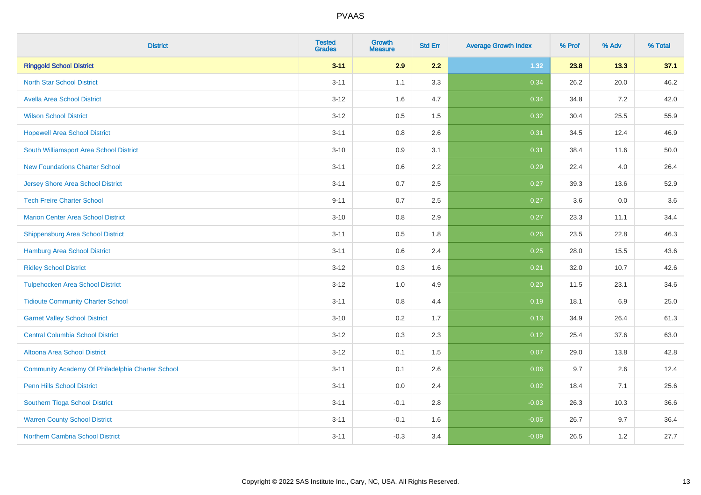| <b>District</b>                                  | <b>Tested</b><br><b>Grades</b> | <b>Growth</b><br><b>Measure</b> | <b>Std Err</b> | <b>Average Growth Index</b> | % Prof | % Adv | % Total |
|--------------------------------------------------|--------------------------------|---------------------------------|----------------|-----------------------------|--------|-------|---------|
| <b>Ringgold School District</b>                  | $3 - 11$                       | 2.9                             | 2.2            | 1.32                        | 23.8   | 13.3  | 37.1    |
| <b>North Star School District</b>                | $3 - 11$                       | 1.1                             | 3.3            | 0.34                        | 26.2   | 20.0  | 46.2    |
| <b>Avella Area School District</b>               | $3 - 12$                       | 1.6                             | 4.7            | 0.34                        | 34.8   | 7.2   | 42.0    |
| <b>Wilson School District</b>                    | $3 - 12$                       | 0.5                             | 1.5            | 0.32                        | 30.4   | 25.5  | 55.9    |
| <b>Hopewell Area School District</b>             | $3 - 11$                       | 0.8                             | 2.6            | 0.31                        | 34.5   | 12.4  | 46.9    |
| South Williamsport Area School District          | $3 - 10$                       | 0.9                             | 3.1            | 0.31                        | 38.4   | 11.6  | 50.0    |
| <b>New Foundations Charter School</b>            | $3 - 11$                       | 0.6                             | 2.2            | 0.29                        | 22.4   | 4.0   | 26.4    |
| <b>Jersey Shore Area School District</b>         | $3 - 11$                       | 0.7                             | 2.5            | 0.27                        | 39.3   | 13.6  | 52.9    |
| <b>Tech Freire Charter School</b>                | $9 - 11$                       | 0.7                             | 2.5            | 0.27                        | 3.6    | 0.0   | 3.6     |
| <b>Marion Center Area School District</b>        | $3 - 10$                       | 0.8                             | 2.9            | 0.27                        | 23.3   | 11.1  | 34.4    |
| <b>Shippensburg Area School District</b>         | $3 - 11$                       | 0.5                             | 1.8            | 0.26                        | 23.5   | 22.8  | 46.3    |
| <b>Hamburg Area School District</b>              | $3 - 11$                       | 0.6                             | 2.4            | 0.25                        | 28.0   | 15.5  | 43.6    |
| <b>Ridley School District</b>                    | $3 - 12$                       | 0.3                             | 1.6            | 0.21                        | 32.0   | 10.7  | 42.6    |
| <b>Tulpehocken Area School District</b>          | $3-12$                         | 1.0                             | 4.9            | 0.20                        | 11.5   | 23.1  | 34.6    |
| <b>Tidioute Community Charter School</b>         | $3 - 11$                       | 0.8                             | 4.4            | 0.19                        | 18.1   | 6.9   | 25.0    |
| <b>Garnet Valley School District</b>             | $3 - 10$                       | 0.2                             | 1.7            | 0.13                        | 34.9   | 26.4  | 61.3    |
| <b>Central Columbia School District</b>          | $3-12$                         | 0.3                             | 2.3            | 0.12                        | 25.4   | 37.6  | 63.0    |
| Altoona Area School District                     | $3 - 12$                       | 0.1                             | 1.5            | 0.07                        | 29.0   | 13.8  | 42.8    |
| Community Academy Of Philadelphia Charter School | $3 - 11$                       | 0.1                             | 2.6            | 0.06                        | 9.7    | 2.6   | 12.4    |
| Penn Hills School District                       | $3 - 11$                       | 0.0                             | 2.4            | 0.02                        | 18.4   | 7.1   | 25.6    |
| <b>Southern Tioga School District</b>            | $3 - 11$                       | $-0.1$                          | 2.8            | $-0.03$                     | 26.3   | 10.3  | 36.6    |
| <b>Warren County School District</b>             | $3 - 11$                       | $-0.1$                          | 1.6            | $-0.06$                     | 26.7   | 9.7   | 36.4    |
| <b>Northern Cambria School District</b>          | $3 - 11$                       | $-0.3$                          | 3.4            | $-0.09$                     | 26.5   | 1.2   | 27.7    |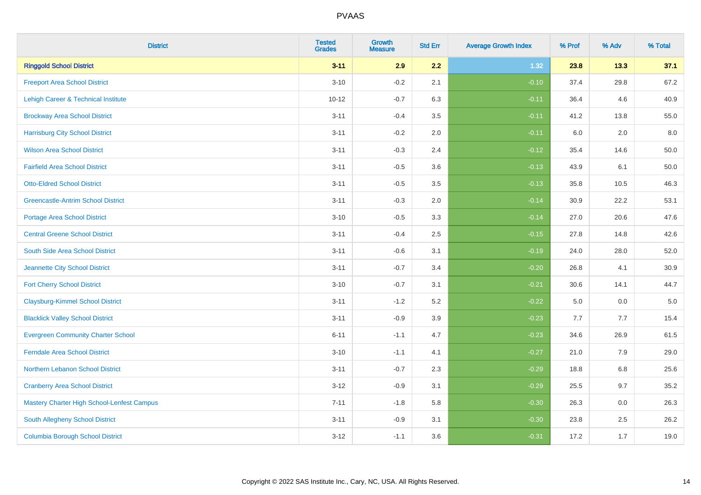| <b>District</b>                            | <b>Tested</b><br><b>Grades</b> | <b>Growth</b><br><b>Measure</b> | <b>Std Err</b> | <b>Average Growth Index</b> | % Prof | % Adv | % Total  |
|--------------------------------------------|--------------------------------|---------------------------------|----------------|-----------------------------|--------|-------|----------|
| <b>Ringgold School District</b>            | $3 - 11$                       | 2.9                             | 2.2            | 1.32                        | 23.8   | 13.3  | 37.1     |
| <b>Freeport Area School District</b>       | $3 - 10$                       | $-0.2$                          | 2.1            | $-0.10$                     | 37.4   | 29.8  | 67.2     |
| Lehigh Career & Technical Institute        | $10 - 12$                      | $-0.7$                          | 6.3            | $-0.11$                     | 36.4   | 4.6   | 40.9     |
| <b>Brockway Area School District</b>       | $3 - 11$                       | $-0.4$                          | 3.5            | $-0.11$                     | 41.2   | 13.8  | 55.0     |
| <b>Harrisburg City School District</b>     | $3 - 11$                       | $-0.2$                          | 2.0            | $-0.11$                     | 6.0    | 2.0   | 8.0      |
| <b>Wilson Area School District</b>         | $3 - 11$                       | $-0.3$                          | 2.4            | $-0.12$                     | 35.4   | 14.6  | 50.0     |
| <b>Fairfield Area School District</b>      | $3 - 11$                       | $-0.5$                          | 3.6            | $-0.13$                     | 43.9   | 6.1   | $50.0\,$ |
| <b>Otto-Eldred School District</b>         | $3 - 11$                       | $-0.5$                          | 3.5            | $-0.13$                     | 35.8   | 10.5  | 46.3     |
| <b>Greencastle-Antrim School District</b>  | $3 - 11$                       | $-0.3$                          | 2.0            | $-0.14$                     | 30.9   | 22.2  | 53.1     |
| <b>Portage Area School District</b>        | $3 - 10$                       | $-0.5$                          | 3.3            | $-0.14$                     | 27.0   | 20.6  | 47.6     |
| <b>Central Greene School District</b>      | $3 - 11$                       | $-0.4$                          | 2.5            | $-0.15$                     | 27.8   | 14.8  | 42.6     |
| South Side Area School District            | $3 - 11$                       | $-0.6$                          | 3.1            | $-0.19$                     | 24.0   | 28.0  | 52.0     |
| Jeannette City School District             | $3 - 11$                       | $-0.7$                          | 3.4            | $-0.20$                     | 26.8   | 4.1   | 30.9     |
| <b>Fort Cherry School District</b>         | $3 - 10$                       | $-0.7$                          | 3.1            | $-0.21$                     | 30.6   | 14.1  | 44.7     |
| <b>Claysburg-Kimmel School District</b>    | $3 - 11$                       | $-1.2$                          | 5.2            | $-0.22$                     | 5.0    | 0.0   | $5.0\,$  |
| <b>Blacklick Valley School District</b>    | $3 - 11$                       | $-0.9$                          | 3.9            | $-0.23$                     | 7.7    | 7.7   | 15.4     |
| <b>Evergreen Community Charter School</b>  | $6 - 11$                       | $-1.1$                          | 4.7            | $-0.23$                     | 34.6   | 26.9  | 61.5     |
| <b>Ferndale Area School District</b>       | $3 - 10$                       | $-1.1$                          | 4.1            | $-0.27$                     | 21.0   | 7.9   | 29.0     |
| Northern Lebanon School District           | $3 - 11$                       | $-0.7$                          | 2.3            | $-0.29$                     | 18.8   | 6.8   | 25.6     |
| <b>Cranberry Area School District</b>      | $3 - 12$                       | $-0.9$                          | 3.1            | $-0.29$                     | 25.5   | 9.7   | 35.2     |
| Mastery Charter High School-Lenfest Campus | $7 - 11$                       | $-1.8$                          | 5.8            | $-0.30$                     | 26.3   | 0.0   | 26.3     |
| South Allegheny School District            | $3 - 11$                       | $-0.9$                          | 3.1            | $-0.30$                     | 23.8   | 2.5   | 26.2     |
| <b>Columbia Borough School District</b>    | $3 - 12$                       | $-1.1$                          | 3.6            | $-0.31$                     | 17.2   | 1.7   | 19.0     |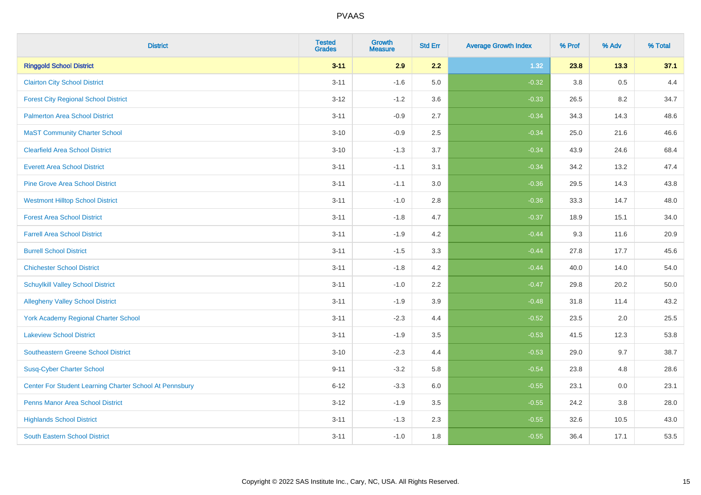| <b>District</b>                                         | <b>Tested</b><br><b>Grades</b> | <b>Growth</b><br><b>Measure</b> | <b>Std Err</b> | <b>Average Growth Index</b> | % Prof | % Adv | % Total |
|---------------------------------------------------------|--------------------------------|---------------------------------|----------------|-----------------------------|--------|-------|---------|
| <b>Ringgold School District</b>                         | $3 - 11$                       | 2.9                             | 2.2            | 1.32                        | 23.8   | 13.3  | 37.1    |
| <b>Clairton City School District</b>                    | $3 - 11$                       | $-1.6$                          | 5.0            | $-0.32$                     | 3.8    | 0.5   | 4.4     |
| <b>Forest City Regional School District</b>             | $3 - 12$                       | $-1.2$                          | 3.6            | $-0.33$                     | 26.5   | 8.2   | 34.7    |
| <b>Palmerton Area School District</b>                   | $3 - 11$                       | $-0.9$                          | 2.7            | $-0.34$                     | 34.3   | 14.3  | 48.6    |
| <b>MaST Community Charter School</b>                    | $3 - 10$                       | $-0.9$                          | 2.5            | $-0.34$                     | 25.0   | 21.6  | 46.6    |
| <b>Clearfield Area School District</b>                  | $3 - 10$                       | $-1.3$                          | 3.7            | $-0.34$                     | 43.9   | 24.6  | 68.4    |
| <b>Everett Area School District</b>                     | $3 - 11$                       | $-1.1$                          | 3.1            | $-0.34$                     | 34.2   | 13.2  | 47.4    |
| <b>Pine Grove Area School District</b>                  | $3 - 11$                       | $-1.1$                          | 3.0            | $-0.36$                     | 29.5   | 14.3  | 43.8    |
| <b>Westmont Hilltop School District</b>                 | $3 - 11$                       | $-1.0$                          | 2.8            | $-0.36$                     | 33.3   | 14.7  | 48.0    |
| <b>Forest Area School District</b>                      | $3 - 11$                       | $-1.8$                          | 4.7            | $-0.37$                     | 18.9   | 15.1  | 34.0    |
| <b>Farrell Area School District</b>                     | $3 - 11$                       | $-1.9$                          | 4.2            | $-0.44$                     | 9.3    | 11.6  | 20.9    |
| <b>Burrell School District</b>                          | $3 - 11$                       | $-1.5$                          | 3.3            | $-0.44$                     | 27.8   | 17.7  | 45.6    |
| <b>Chichester School District</b>                       | $3 - 11$                       | $-1.8$                          | 4.2            | $-0.44$                     | 40.0   | 14.0  | 54.0    |
| <b>Schuylkill Valley School District</b>                | $3 - 11$                       | $-1.0$                          | 2.2            | $-0.47$                     | 29.8   | 20.2  | 50.0    |
| <b>Allegheny Valley School District</b>                 | $3 - 11$                       | $-1.9$                          | 3.9            | $-0.48$                     | 31.8   | 11.4  | 43.2    |
| <b>York Academy Regional Charter School</b>             | $3 - 11$                       | $-2.3$                          | 4.4            | $-0.52$                     | 23.5   | 2.0   | 25.5    |
| <b>Lakeview School District</b>                         | $3 - 11$                       | $-1.9$                          | 3.5            | $-0.53$                     | 41.5   | 12.3  | 53.8    |
| <b>Southeastern Greene School District</b>              | $3 - 10$                       | $-2.3$                          | 4.4            | $-0.53$                     | 29.0   | 9.7   | 38.7    |
| <b>Susq-Cyber Charter School</b>                        | $9 - 11$                       | $-3.2$                          | 5.8            | $-0.54$                     | 23.8   | 4.8   | 28.6    |
| Center For Student Learning Charter School At Pennsbury | $6 - 12$                       | $-3.3$                          | 6.0            | $-0.55$                     | 23.1   | 0.0   | 23.1    |
| <b>Penns Manor Area School District</b>                 | $3 - 12$                       | $-1.9$                          | 3.5            | $-0.55$                     | 24.2   | 3.8   | 28.0    |
| <b>Highlands School District</b>                        | $3 - 11$                       | $-1.3$                          | 2.3            | $-0.55$                     | 32.6   | 10.5  | 43.0    |
| <b>South Eastern School District</b>                    | $3 - 11$                       | $-1.0$                          | 1.8            | $-0.55$                     | 36.4   | 17.1  | 53.5    |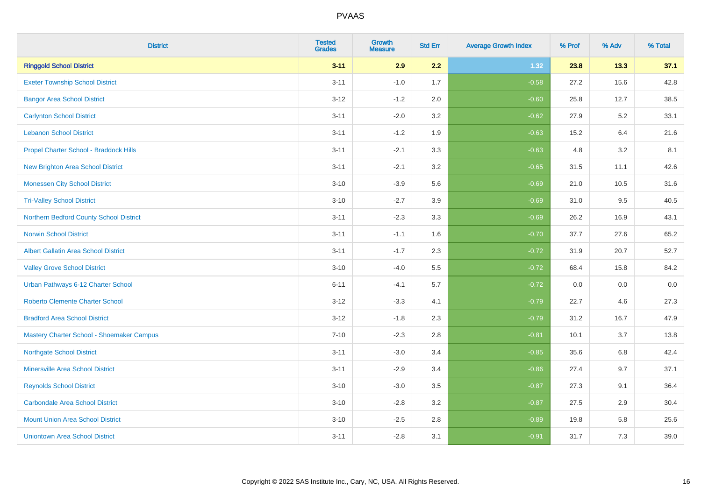| <b>District</b>                             | <b>Tested</b><br><b>Grades</b> | <b>Growth</b><br><b>Measure</b> | <b>Std Err</b> | <b>Average Growth Index</b> | % Prof | % Adv | % Total |
|---------------------------------------------|--------------------------------|---------------------------------|----------------|-----------------------------|--------|-------|---------|
| <b>Ringgold School District</b>             | $3 - 11$                       | 2.9                             | 2.2            | 1.32                        | 23.8   | 13.3  | 37.1    |
| <b>Exeter Township School District</b>      | $3 - 11$                       | $-1.0$                          | 1.7            | $-0.58$                     | 27.2   | 15.6  | 42.8    |
| <b>Bangor Area School District</b>          | $3 - 12$                       | $-1.2$                          | 2.0            | $-0.60$                     | 25.8   | 12.7  | 38.5    |
| <b>Carlynton School District</b>            | $3 - 11$                       | $-2.0$                          | 3.2            | $-0.62$                     | 27.9   | 5.2   | 33.1    |
| <b>Lebanon School District</b>              | $3 - 11$                       | $-1.2$                          | 1.9            | $-0.63$                     | 15.2   | 6.4   | 21.6    |
| Propel Charter School - Braddock Hills      | $3 - 11$                       | $-2.1$                          | 3.3            | $-0.63$                     | 4.8    | 3.2   | 8.1     |
| <b>New Brighton Area School District</b>    | $3 - 11$                       | $-2.1$                          | 3.2            | $-0.65$                     | 31.5   | 11.1  | 42.6    |
| <b>Monessen City School District</b>        | $3 - 10$                       | $-3.9$                          | 5.6            | $-0.69$                     | 21.0   | 10.5  | 31.6    |
| <b>Tri-Valley School District</b>           | $3 - 10$                       | $-2.7$                          | 3.9            | $-0.69$                     | 31.0   | 9.5   | 40.5    |
| Northern Bedford County School District     | $3 - 11$                       | $-2.3$                          | 3.3            | $-0.69$                     | 26.2   | 16.9  | 43.1    |
| <b>Norwin School District</b>               | $3 - 11$                       | $-1.1$                          | 1.6            | $-0.70$                     | 37.7   | 27.6  | 65.2    |
| <b>Albert Gallatin Area School District</b> | $3 - 11$                       | $-1.7$                          | 2.3            | $-0.72$                     | 31.9   | 20.7  | 52.7    |
| <b>Valley Grove School District</b>         | $3 - 10$                       | $-4.0$                          | 5.5            | $-0.72$                     | 68.4   | 15.8  | 84.2    |
| Urban Pathways 6-12 Charter School          | $6 - 11$                       | $-4.1$                          | 5.7            | $-0.72$                     | 0.0    | 0.0   | $0.0\,$ |
| <b>Roberto Clemente Charter School</b>      | $3 - 12$                       | $-3.3$                          | 4.1            | $-0.79$                     | 22.7   | 4.6   | 27.3    |
| <b>Bradford Area School District</b>        | $3 - 12$                       | $-1.8$                          | 2.3            | $-0.79$                     | 31.2   | 16.7  | 47.9    |
| Mastery Charter School - Shoemaker Campus   | $7 - 10$                       | $-2.3$                          | 2.8            | $-0.81$                     | 10.1   | 3.7   | 13.8    |
| <b>Northgate School District</b>            | $3 - 11$                       | $-3.0$                          | 3.4            | $-0.85$                     | 35.6   | 6.8   | 42.4    |
| <b>Minersville Area School District</b>     | $3 - 11$                       | $-2.9$                          | 3.4            | $-0.86$                     | 27.4   | 9.7   | 37.1    |
| <b>Reynolds School District</b>             | $3 - 10$                       | $-3.0$                          | 3.5            | $-0.87$                     | 27.3   | 9.1   | 36.4    |
| <b>Carbondale Area School District</b>      | $3 - 10$                       | $-2.8$                          | 3.2            | $-0.87$                     | 27.5   | 2.9   | 30.4    |
| <b>Mount Union Area School District</b>     | $3 - 10$                       | $-2.5$                          | 2.8            | $-0.89$                     | 19.8   | 5.8   | 25.6    |
| <b>Uniontown Area School District</b>       | $3 - 11$                       | $-2.8$                          | 3.1            | $-0.91$                     | 31.7   | 7.3   | 39.0    |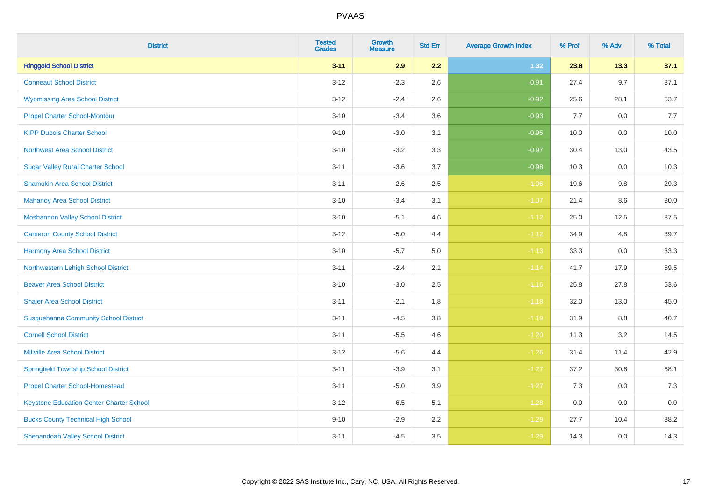| <b>District</b>                                 | <b>Tested</b><br><b>Grades</b> | <b>Growth</b><br><b>Measure</b> | <b>Std Err</b> | <b>Average Growth Index</b> | % Prof | % Adv   | % Total |
|-------------------------------------------------|--------------------------------|---------------------------------|----------------|-----------------------------|--------|---------|---------|
| <b>Ringgold School District</b>                 | $3 - 11$                       | 2.9                             | 2.2            | 1.32                        | 23.8   | 13.3    | 37.1    |
| <b>Conneaut School District</b>                 | $3 - 12$                       | $-2.3$                          | 2.6            | $-0.91$                     | 27.4   | $9.7\,$ | 37.1    |
| <b>Wyomissing Area School District</b>          | $3 - 12$                       | $-2.4$                          | 2.6            | $-0.92$                     | 25.6   | 28.1    | 53.7    |
| <b>Propel Charter School-Montour</b>            | $3 - 10$                       | $-3.4$                          | 3.6            | $-0.93$                     | 7.7    | $0.0\,$ | 7.7     |
| <b>KIPP Dubois Charter School</b>               | $9 - 10$                       | $-3.0$                          | 3.1            | $-0.95$                     | 10.0   | 0.0     | 10.0    |
| <b>Northwest Area School District</b>           | $3 - 10$                       | $-3.2$                          | 3.3            | $-0.97$                     | 30.4   | 13.0    | 43.5    |
| <b>Sugar Valley Rural Charter School</b>        | $3 - 11$                       | $-3.6$                          | 3.7            | $-0.98$                     | 10.3   | 0.0     | 10.3    |
| <b>Shamokin Area School District</b>            | $3 - 11$                       | $-2.6$                          | 2.5            | $-1.06$                     | 19.6   | 9.8     | 29.3    |
| <b>Mahanoy Area School District</b>             | $3 - 10$                       | $-3.4$                          | 3.1            | $-1.07$                     | 21.4   | 8.6     | 30.0    |
| <b>Moshannon Valley School District</b>         | $3 - 10$                       | $-5.1$                          | 4.6            | $-1.12$                     | 25.0   | 12.5    | 37.5    |
| <b>Cameron County School District</b>           | $3 - 12$                       | $-5.0$                          | 4.4            | $-1.12$                     | 34.9   | 4.8     | 39.7    |
| <b>Harmony Area School District</b>             | $3 - 10$                       | $-5.7$                          | 5.0            | $-1.13$                     | 33.3   | 0.0     | 33.3    |
| Northwestern Lehigh School District             | $3 - 11$                       | $-2.4$                          | 2.1            | $-1.14$                     | 41.7   | 17.9    | 59.5    |
| <b>Beaver Area School District</b>              | $3 - 10$                       | $-3.0$                          | 2.5            | $-1.16$                     | 25.8   | 27.8    | 53.6    |
| <b>Shaler Area School District</b>              | $3 - 11$                       | $-2.1$                          | 1.8            | $-1.18$                     | 32.0   | 13.0    | 45.0    |
| <b>Susquehanna Community School District</b>    | $3 - 11$                       | $-4.5$                          | 3.8            | $-1.19$                     | 31.9   | $8.8\,$ | 40.7    |
| <b>Cornell School District</b>                  | $3 - 11$                       | $-5.5$                          | 4.6            | $-1.20$                     | 11.3   | 3.2     | 14.5    |
| <b>Millville Area School District</b>           | $3 - 12$                       | $-5.6$                          | 4.4            | $-1.26$                     | 31.4   | 11.4    | 42.9    |
| <b>Springfield Township School District</b>     | $3 - 11$                       | $-3.9$                          | 3.1            | $-1.27$                     | 37.2   | 30.8    | 68.1    |
| <b>Propel Charter School-Homestead</b>          | $3 - 11$                       | $-5.0$                          | 3.9            | $-1.27$                     | 7.3    | 0.0     | 7.3     |
| <b>Keystone Education Center Charter School</b> | $3 - 12$                       | $-6.5$                          | 5.1            | $-1.28$                     | 0.0    | 0.0     | $0.0\,$ |
| <b>Bucks County Technical High School</b>       | $9 - 10$                       | $-2.9$                          | 2.2            | $-1.29$                     | 27.7   | 10.4    | 38.2    |
| <b>Shenandoah Valley School District</b>        | $3 - 11$                       | $-4.5$                          | 3.5            | $-1.29$                     | 14.3   | 0.0     | 14.3    |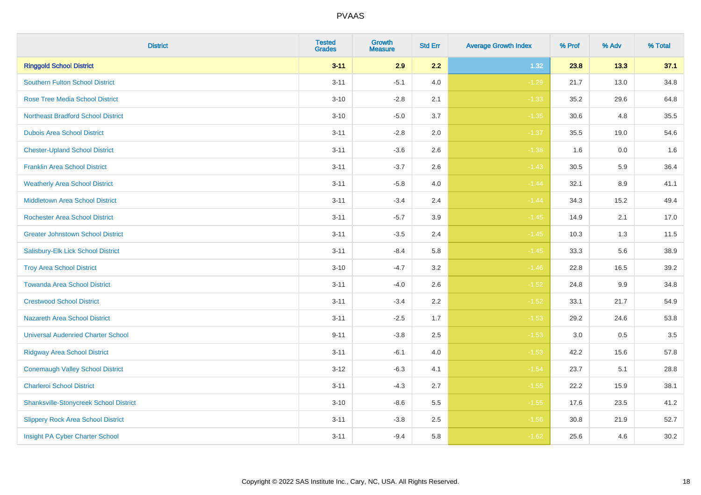| <b>District</b>                               | <b>Tested</b><br><b>Grades</b> | <b>Growth</b><br><b>Measure</b> | <b>Std Err</b> | <b>Average Growth Index</b> | % Prof | % Adv | % Total |
|-----------------------------------------------|--------------------------------|---------------------------------|----------------|-----------------------------|--------|-------|---------|
| <b>Ringgold School District</b>               | $3 - 11$                       | 2.9                             | 2.2            | 1.32                        | 23.8   | 13.3  | 37.1    |
| <b>Southern Fulton School District</b>        | $3 - 11$                       | $-5.1$                          | 4.0            | $-1.29$                     | 21.7   | 13.0  | 34.8    |
| <b>Rose Tree Media School District</b>        | $3 - 10$                       | $-2.8$                          | 2.1            | $-1.33$                     | 35.2   | 29.6  | 64.8    |
| <b>Northeast Bradford School District</b>     | $3 - 10$                       | $-5.0$                          | 3.7            | $-1.35$                     | 30.6   | 4.8   | 35.5    |
| <b>Dubois Area School District</b>            | $3 - 11$                       | $-2.8$                          | 2.0            | $-1.37$                     | 35.5   | 19.0  | 54.6    |
| <b>Chester-Upland School District</b>         | $3 - 11$                       | $-3.6$                          | 2.6            | $-1.38$                     | 1.6    | 0.0   | 1.6     |
| <b>Franklin Area School District</b>          | $3 - 11$                       | $-3.7$                          | 2.6            | $-1.43$                     | 30.5   | 5.9   | 36.4    |
| <b>Weatherly Area School District</b>         | $3 - 11$                       | $-5.8$                          | 4.0            | $-1.44$                     | 32.1   | 8.9   | 41.1    |
| <b>Middletown Area School District</b>        | $3 - 11$                       | $-3.4$                          | 2.4            | $-1.44$                     | 34.3   | 15.2  | 49.4    |
| <b>Rochester Area School District</b>         | $3 - 11$                       | $-5.7$                          | 3.9            | $-1.45$                     | 14.9   | 2.1   | 17.0    |
| <b>Greater Johnstown School District</b>      | $3 - 11$                       | $-3.5$                          | 2.4            | $-1.45$                     | 10.3   | 1.3   | 11.5    |
| Salisbury-Elk Lick School District            | $3 - 11$                       | $-8.4$                          | 5.8            | $-1.45$                     | 33.3   | 5.6   | 38.9    |
| <b>Troy Area School District</b>              | $3 - 10$                       | $-4.7$                          | $3.2\,$        | $-1.46$                     | 22.8   | 16.5  | 39.2    |
| <b>Towanda Area School District</b>           | $3 - 11$                       | $-4.0$                          | 2.6            | $-1.52$                     | 24.8   | 9.9   | 34.8    |
| <b>Crestwood School District</b>              | $3 - 11$                       | $-3.4$                          | 2.2            | $-1.52$                     | 33.1   | 21.7  | 54.9    |
| <b>Nazareth Area School District</b>          | $3 - 11$                       | $-2.5$                          | 1.7            | $-1.53$                     | 29.2   | 24.6  | 53.8    |
| <b>Universal Audenried Charter School</b>     | $9 - 11$                       | $-3.8$                          | 2.5            | $-1.53$                     | 3.0    | 0.5   | 3.5     |
| <b>Ridgway Area School District</b>           | $3 - 11$                       | $-6.1$                          | 4.0            | $-1.53$                     | 42.2   | 15.6  | 57.8    |
| <b>Conemaugh Valley School District</b>       | $3 - 12$                       | $-6.3$                          | 4.1            | $-1.54$                     | 23.7   | 5.1   | 28.8    |
| <b>Charleroi School District</b>              | $3 - 11$                       | $-4.3$                          | 2.7            | $-1.55$                     | 22.2   | 15.9  | 38.1    |
| <b>Shanksville-Stonycreek School District</b> | $3 - 10$                       | $-8.6$                          | 5.5            | $-1.55$                     | 17.6   | 23.5  | 41.2    |
| <b>Slippery Rock Area School District</b>     | $3 - 11$                       | $-3.8$                          | 2.5            | $-1.56$                     | 30.8   | 21.9  | 52.7    |
| Insight PA Cyber Charter School               | $3 - 11$                       | $-9.4$                          | 5.8            | $-1.62$                     | 25.6   | 4.6   | 30.2    |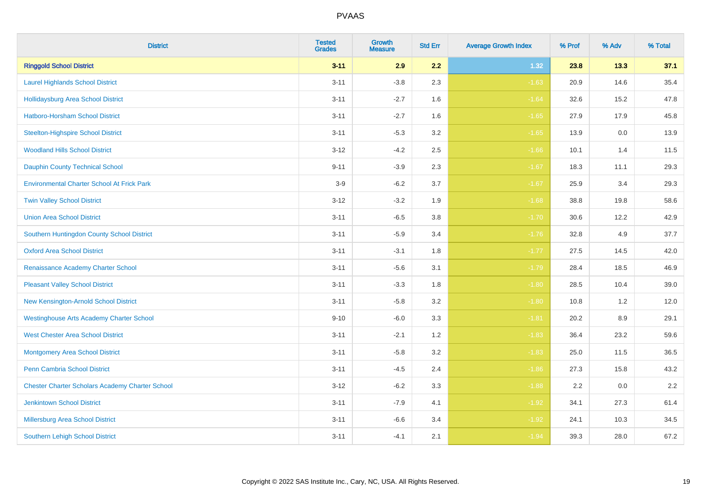| <b>District</b>                                        | <b>Tested</b><br><b>Grades</b> | <b>Growth</b><br><b>Measure</b> | <b>Std Err</b> | <b>Average Growth Index</b> | % Prof | % Adv   | % Total |
|--------------------------------------------------------|--------------------------------|---------------------------------|----------------|-----------------------------|--------|---------|---------|
| <b>Ringgold School District</b>                        | $3 - 11$                       | 2.9                             | 2.2            | 1.32                        | 23.8   | 13.3    | 37.1    |
| <b>Laurel Highlands School District</b>                | $3 - 11$                       | $-3.8$                          | 2.3            | $-1.63$                     | 20.9   | 14.6    | 35.4    |
| <b>Hollidaysburg Area School District</b>              | $3 - 11$                       | $-2.7$                          | 1.6            | $-1.64$                     | 32.6   | 15.2    | 47.8    |
| Hatboro-Horsham School District                        | $3 - 11$                       | $-2.7$                          | 1.6            | $-1.65$                     | 27.9   | 17.9    | 45.8    |
| <b>Steelton-Highspire School District</b>              | $3 - 11$                       | $-5.3$                          | 3.2            | $-1.65$                     | 13.9   | 0.0     | 13.9    |
| <b>Woodland Hills School District</b>                  | $3 - 12$                       | $-4.2$                          | 2.5            | $-1.66$                     | 10.1   | 1.4     | 11.5    |
| Dauphin County Technical School                        | $9 - 11$                       | $-3.9$                          | 2.3            | $-1.67$                     | 18.3   | 11.1    | 29.3    |
| <b>Environmental Charter School At Frick Park</b>      | $3-9$                          | $-6.2$                          | 3.7            | $-1.67$                     | 25.9   | 3.4     | 29.3    |
| <b>Twin Valley School District</b>                     | $3 - 12$                       | $-3.2$                          | 1.9            | $-1.68$                     | 38.8   | 19.8    | 58.6    |
| <b>Union Area School District</b>                      | $3 - 11$                       | $-6.5$                          | 3.8            | $-1.70$                     | 30.6   | 12.2    | 42.9    |
| Southern Huntingdon County School District             | $3 - 11$                       | $-5.9$                          | 3.4            | $-1.76$                     | 32.8   | 4.9     | 37.7    |
| <b>Oxford Area School District</b>                     | $3 - 11$                       | $-3.1$                          | 1.8            | $-1.77$                     | 27.5   | 14.5    | 42.0    |
| Renaissance Academy Charter School                     | $3 - 11$                       | $-5.6$                          | 3.1            | $-1.79$                     | 28.4   | 18.5    | 46.9    |
| <b>Pleasant Valley School District</b>                 | $3 - 11$                       | $-3.3$                          | 1.8            | $-1.80$                     | 28.5   | 10.4    | 39.0    |
| New Kensington-Arnold School District                  | $3 - 11$                       | $-5.8$                          | 3.2            | $-1.80$                     | 10.8   | 1.2     | 12.0    |
| <b>Westinghouse Arts Academy Charter School</b>        | $9 - 10$                       | $-6.0$                          | 3.3            | $-1.81$                     | 20.2   | $8.9\,$ | 29.1    |
| <b>West Chester Area School District</b>               | $3 - 11$                       | $-2.1$                          | 1.2            | $-1.83$                     | 36.4   | 23.2    | 59.6    |
| <b>Montgomery Area School District</b>                 | $3 - 11$                       | $-5.8$                          | 3.2            | $-1.83$                     | 25.0   | 11.5    | 36.5    |
| <b>Penn Cambria School District</b>                    | $3 - 11$                       | $-4.5$                          | 2.4            | $-1.86$                     | 27.3   | 15.8    | 43.2    |
| <b>Chester Charter Scholars Academy Charter School</b> | $3 - 12$                       | $-6.2$                          | 3.3            | $-1.88$                     | 2.2    | 0.0     | 2.2     |
| <b>Jenkintown School District</b>                      | $3 - 11$                       | $-7.9$                          | 4.1            | $-1.92$                     | 34.1   | 27.3    | 61.4    |
| Millersburg Area School District                       | $3 - 11$                       | $-6.6$                          | 3.4            | $-1.92$                     | 24.1   | 10.3    | 34.5    |
| <b>Southern Lehigh School District</b>                 | $3 - 11$                       | $-4.1$                          | 2.1            | $-1.94$                     | 39.3   | 28.0    | 67.2    |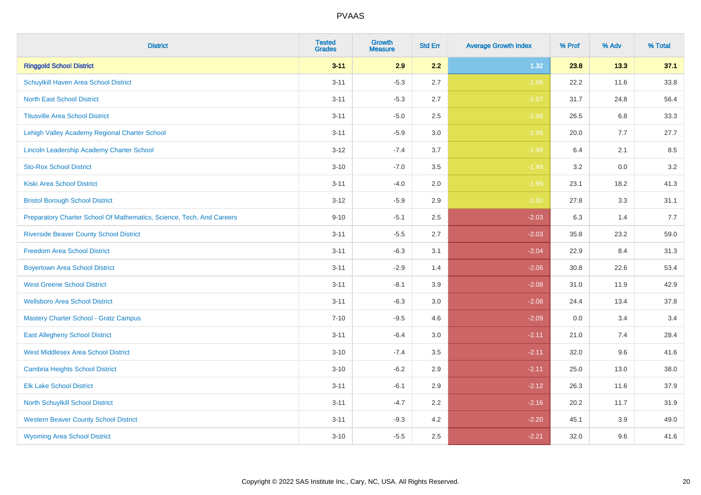| <b>District</b>                                                       | <b>Tested</b><br><b>Grades</b> | <b>Growth</b><br><b>Measure</b> | <b>Std Err</b> | <b>Average Growth Index</b> | % Prof | % Adv | % Total |
|-----------------------------------------------------------------------|--------------------------------|---------------------------------|----------------|-----------------------------|--------|-------|---------|
| <b>Ringgold School District</b>                                       | $3 - 11$                       | 2.9                             | 2.2            | 1.32                        | 23.8   | 13.3  | 37.1    |
| Schuylkill Haven Area School District                                 | $3 - 11$                       | $-5.3$                          | 2.7            | $-1.96$                     | 22.2   | 11.6  | 33.8    |
| <b>North East School District</b>                                     | $3 - 11$                       | $-5.3$                          | 2.7            | $-1.97$                     | 31.7   | 24.8  | 56.4    |
| <b>Titusville Area School District</b>                                | $3 - 11$                       | $-5.0$                          | 2.5            | $-1.98$                     | 26.5   | 6.8   | 33.3    |
| Lehigh Valley Academy Regional Charter School                         | $3 - 11$                       | $-5.9$                          | 3.0            | $-1.98$                     | 20.0   | 7.7   | 27.7    |
| <b>Lincoln Leadership Academy Charter School</b>                      | $3 - 12$                       | $-7.4$                          | 3.7            | $-1.99$                     | 6.4    | 2.1   | 8.5     |
| <b>Sto-Rox School District</b>                                        | $3 - 10$                       | $-7.0$                          | 3.5            | $-1.99$                     | 3.2    | 0.0   | 3.2     |
| <b>Kiski Area School District</b>                                     | $3 - 11$                       | $-4.0$                          | 2.0            | $-1.99$                     | 23.1   | 18.2  | 41.3    |
| <b>Bristol Borough School District</b>                                | $3 - 12$                       | $-5.9$                          | 2.9            | $-2.00$                     | 27.8   | 3.3   | 31.1    |
| Preparatory Charter School Of Mathematics, Science, Tech, And Careers | $9 - 10$                       | $-5.1$                          | 2.5            | $-2.03$                     | 6.3    | 1.4   | 7.7     |
| <b>Riverside Beaver County School District</b>                        | $3 - 11$                       | $-5.5$                          | 2.7            | $-2.03$                     | 35.8   | 23.2  | 59.0    |
| <b>Freedom Area School District</b>                                   | $3 - 11$                       | $-6.3$                          | 3.1            | $-2.04$                     | 22.9   | 8.4   | 31.3    |
| <b>Boyertown Area School District</b>                                 | $3 - 11$                       | $-2.9$                          | 1.4            | $-2.06$                     | 30.8   | 22.6  | 53.4    |
| <b>West Greene School District</b>                                    | $3 - 11$                       | $-8.1$                          | 3.9            | $-2.08$                     | 31.0   | 11.9  | 42.9    |
| <b>Wellsboro Area School District</b>                                 | $3 - 11$                       | $-6.3$                          | 3.0            | $-2.08$                     | 24.4   | 13.4  | 37.8    |
| <b>Mastery Charter School - Gratz Campus</b>                          | $7 - 10$                       | $-9.5$                          | 4.6            | $-2.09$                     | 0.0    | 3.4   | 3.4     |
| <b>East Allegheny School District</b>                                 | $3 - 11$                       | $-6.4$                          | 3.0            | $-2.11$                     | 21.0   | 7.4   | 28.4    |
| <b>West Middlesex Area School District</b>                            | $3 - 10$                       | $-7.4$                          | 3.5            | $-2.11$                     | 32.0   | 9.6   | 41.6    |
| <b>Cambria Heights School District</b>                                | $3 - 10$                       | $-6.2$                          | 2.9            | $-2.11$                     | 25.0   | 13.0  | 38.0    |
| <b>Elk Lake School District</b>                                       | $3 - 11$                       | $-6.1$                          | 2.9            | $-2.12$                     | 26.3   | 11.6  | 37.9    |
| <b>North Schuylkill School District</b>                               | $3 - 11$                       | $-4.7$                          | 2.2            | $-2.16$                     | 20.2   | 11.7  | 31.9    |
| <b>Western Beaver County School District</b>                          | $3 - 11$                       | $-9.3$                          | 4.2            | $-2.20$                     | 45.1   | 3.9   | 49.0    |
| <b>Wyoming Area School District</b>                                   | $3 - 10$                       | $-5.5$                          | 2.5            | $-2.21$                     | 32.0   | 9.6   | 41.6    |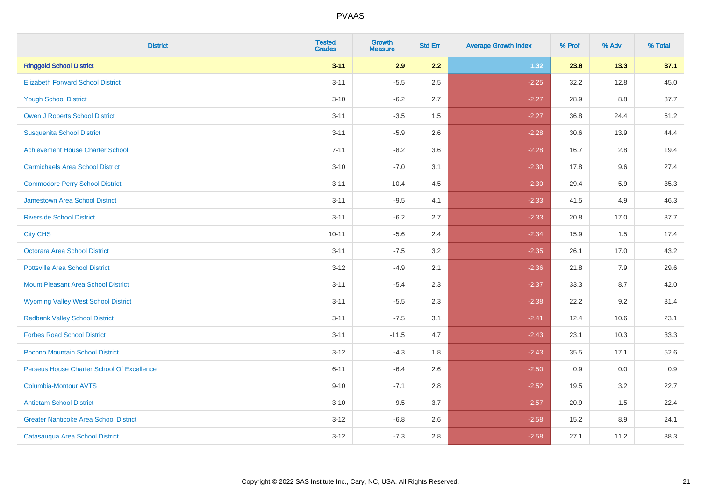| <b>District</b>                               | <b>Tested</b><br><b>Grades</b> | <b>Growth</b><br><b>Measure</b> | <b>Std Err</b> | <b>Average Growth Index</b> | % Prof | % Adv | % Total |
|-----------------------------------------------|--------------------------------|---------------------------------|----------------|-----------------------------|--------|-------|---------|
| <b>Ringgold School District</b>               | $3 - 11$                       | 2.9                             | 2.2            | 1.32                        | 23.8   | 13.3  | 37.1    |
| <b>Elizabeth Forward School District</b>      | $3 - 11$                       | $-5.5$                          | 2.5            | $-2.25$                     | 32.2   | 12.8  | 45.0    |
| <b>Yough School District</b>                  | $3 - 10$                       | $-6.2$                          | 2.7            | $-2.27$                     | 28.9   | 8.8   | 37.7    |
| <b>Owen J Roberts School District</b>         | $3 - 11$                       | $-3.5$                          | 1.5            | $-2.27$                     | 36.8   | 24.4  | 61.2    |
| <b>Susquenita School District</b>             | $3 - 11$                       | $-5.9$                          | 2.6            | $-2.28$                     | 30.6   | 13.9  | 44.4    |
| <b>Achievement House Charter School</b>       | $7 - 11$                       | $-8.2$                          | 3.6            | $-2.28$                     | 16.7   | 2.8   | 19.4    |
| <b>Carmichaels Area School District</b>       | $3 - 10$                       | $-7.0$                          | 3.1            | $-2.30$                     | 17.8   | 9.6   | 27.4    |
| <b>Commodore Perry School District</b>        | $3 - 11$                       | $-10.4$                         | 4.5            | $-2.30$                     | 29.4   | 5.9   | 35.3    |
| Jamestown Area School District                | $3 - 11$                       | $-9.5$                          | 4.1            | $-2.33$                     | 41.5   | 4.9   | 46.3    |
| <b>Riverside School District</b>              | $3 - 11$                       | $-6.2$                          | 2.7            | $-2.33$                     | 20.8   | 17.0  | 37.7    |
| <b>City CHS</b>                               | $10 - 11$                      | $-5.6$                          | 2.4            | $-2.34$                     | 15.9   | 1.5   | 17.4    |
| Octorara Area School District                 | $3 - 11$                       | $-7.5$                          | 3.2            | $-2.35$                     | 26.1   | 17.0  | 43.2    |
| <b>Pottsville Area School District</b>        | $3 - 12$                       | $-4.9$                          | 2.1            | $-2.36$                     | 21.8   | 7.9   | 29.6    |
| <b>Mount Pleasant Area School District</b>    | $3 - 11$                       | $-5.4$                          | 2.3            | $-2.37$                     | 33.3   | 8.7   | 42.0    |
| <b>Wyoming Valley West School District</b>    | $3 - 11$                       | $-5.5$                          | 2.3            | $-2.38$                     | 22.2   | 9.2   | 31.4    |
| <b>Redbank Valley School District</b>         | $3 - 11$                       | $-7.5$                          | 3.1            | $-2.41$                     | 12.4   | 10.6  | 23.1    |
| <b>Forbes Road School District</b>            | $3 - 11$                       | $-11.5$                         | 4.7            | $-2.43$                     | 23.1   | 10.3  | 33.3    |
| Pocono Mountain School District               | $3 - 12$                       | $-4.3$                          | 1.8            | $-2.43$                     | 35.5   | 17.1  | 52.6    |
| Perseus House Charter School Of Excellence    | $6 - 11$                       | $-6.4$                          | 2.6            | $-2.50$                     | 0.9    | 0.0   | 0.9     |
| <b>Columbia-Montour AVTS</b>                  | $9 - 10$                       | $-7.1$                          | 2.8            | $-2.52$                     | 19.5   | 3.2   | 22.7    |
| <b>Antietam School District</b>               | $3 - 10$                       | $-9.5$                          | 3.7            | $-2.57$                     | 20.9   | 1.5   | 22.4    |
| <b>Greater Nanticoke Area School District</b> | $3 - 12$                       | $-6.8$                          | 2.6            | $-2.58$                     | 15.2   | 8.9   | 24.1    |
| Catasauqua Area School District               | $3 - 12$                       | $-7.3$                          | 2.8            | $-2.58$                     | 27.1   | 11.2  | 38.3    |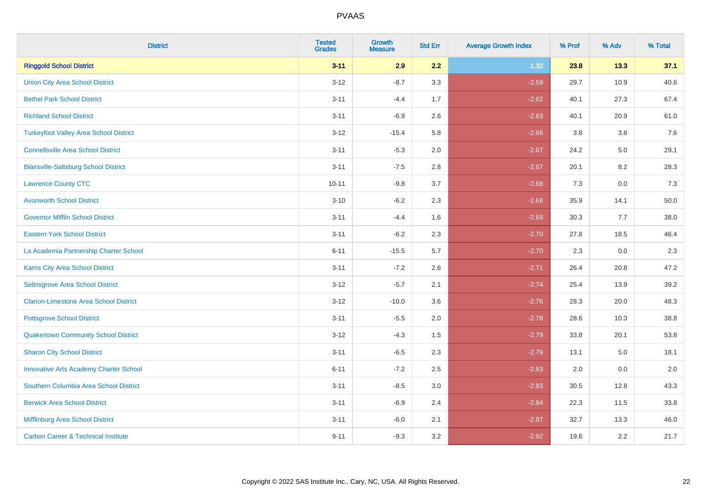| <b>District</b>                                | <b>Tested</b><br><b>Grades</b> | <b>Growth</b><br><b>Measure</b> | <b>Std Err</b> | <b>Average Growth Index</b> | % Prof | % Adv | % Total |
|------------------------------------------------|--------------------------------|---------------------------------|----------------|-----------------------------|--------|-------|---------|
| <b>Ringgold School District</b>                | $3 - 11$                       | 2.9                             | 2.2            | 1.32                        | 23.8   | 13.3  | 37.1    |
| <b>Union City Area School District</b>         | $3 - 12$                       | $-8.7$                          | 3.3            | $-2.59$                     | 29.7   | 10.9  | 40.6    |
| <b>Bethel Park School District</b>             | $3 - 11$                       | $-4.4$                          | 1.7            | $-2.62$                     | 40.1   | 27.3  | 67.4    |
| <b>Richland School District</b>                | $3 - 11$                       | $-6.9$                          | 2.6            | $-2.63$                     | 40.1   | 20.9  | 61.0    |
| <b>Turkeyfoot Valley Area School District</b>  | $3 - 12$                       | $-15.4$                         | 5.8            | $-2.66$                     | 3.8    | 3.8   | 7.6     |
| <b>Connellsville Area School District</b>      | $3 - 11$                       | $-5.3$                          | 2.0            | $-2.67$                     | 24.2   | 5.0   | 29.1    |
| <b>Blairsville-Saltsburg School District</b>   | $3 - 11$                       | $-7.5$                          | 2.8            | $-2.67$                     | 20.1   | 8.2   | 28.3    |
| <b>Lawrence County CTC</b>                     | $10 - 11$                      | $-9.8$                          | 3.7            | $-2.68$                     | 7.3    | 0.0   | 7.3     |
| <b>Avonworth School District</b>               | $3 - 10$                       | $-6.2$                          | 2.3            | $-2.68$                     | 35.9   | 14.1  | 50.0    |
| <b>Governor Mifflin School District</b>        | $3 - 11$                       | $-4.4$                          | 1.6            | $-2.69$                     | 30.3   | 7.7   | 38.0    |
| <b>Eastern York School District</b>            | $3 - 11$                       | $-6.2$                          | 2.3            | $-2.70$                     | 27.8   | 18.5  | 46.4    |
| La Academia Partnership Charter School         | $6 - 11$                       | $-15.5$                         | 5.7            | $-2.70$                     | 2.3    | 0.0   | 2.3     |
| Karns City Area School District                | $3 - 11$                       | $-7.2$                          | 2.6            | $-2.71$                     | 26.4   | 20.8  | 47.2    |
| Selinsgrove Area School District               | $3 - 12$                       | $-5.7$                          | 2.1            | $-2.74$                     | 25.4   | 13.9  | 39.2    |
| <b>Clarion-Limestone Area School District</b>  | $3 - 12$                       | $-10.0$                         | 3.6            | $-2.76$                     | 28.3   | 20.0  | 48.3    |
| <b>Pottsgrove School District</b>              | $3 - 11$                       | $-5.5$                          | 2.0            | $-2.78$                     | 28.6   | 10.3  | 38.8    |
| <b>Quakertown Community School District</b>    | $3 - 12$                       | $-4.3$                          | 1.5            | $-2.79$                     | 33.8   | 20.1  | 53.8    |
| <b>Sharon City School District</b>             | $3 - 11$                       | $-6.5$                          | 2.3            | $-2.79$                     | 13.1   | 5.0   | 18.1    |
| <b>Innovative Arts Academy Charter School</b>  | $6 - 11$                       | $-7.2$                          | 2.5            | $-2.83$                     | 2.0    | 0.0   | 2.0     |
| Southern Columbia Area School District         | $3 - 11$                       | $-8.5$                          | 3.0            | $-2.83$                     | 30.5   | 12.8  | 43.3    |
| <b>Berwick Area School District</b>            | $3 - 11$                       | $-6.9$                          | 2.4            | $-2.84$                     | 22.3   | 11.5  | 33.8    |
| Mifflinburg Area School District               | $3 - 11$                       | $-6.0$                          | 2.1            | $-2.87$                     | 32.7   | 13.3  | 46.0    |
| <b>Carbon Career &amp; Technical Institute</b> | $9 - 11$                       | $-9.3$                          | 3.2            | $-2.92$                     | 19.6   | 2.2   | 21.7    |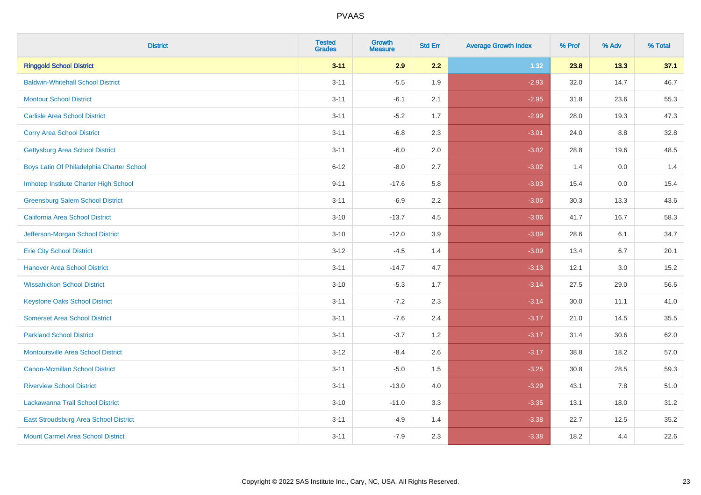| <b>District</b>                           | <b>Tested</b><br><b>Grades</b> | <b>Growth</b><br><b>Measure</b> | <b>Std Err</b> | <b>Average Growth Index</b> | % Prof | % Adv | % Total |
|-------------------------------------------|--------------------------------|---------------------------------|----------------|-----------------------------|--------|-------|---------|
| <b>Ringgold School District</b>           | $3 - 11$                       | 2.9                             | 2.2            | 1.32                        | 23.8   | 13.3  | 37.1    |
| <b>Baldwin-Whitehall School District</b>  | $3 - 11$                       | $-5.5$                          | 1.9            | $-2.93$                     | 32.0   | 14.7  | 46.7    |
| <b>Montour School District</b>            | $3 - 11$                       | $-6.1$                          | 2.1            | $-2.95$                     | 31.8   | 23.6  | 55.3    |
| <b>Carlisle Area School District</b>      | $3 - 11$                       | $-5.2$                          | 1.7            | $-2.99$                     | 28.0   | 19.3  | 47.3    |
| <b>Corry Area School District</b>         | $3 - 11$                       | $-6.8$                          | 2.3            | $-3.01$                     | 24.0   | 8.8   | 32.8    |
| <b>Gettysburg Area School District</b>    | $3 - 11$                       | $-6.0$                          | 2.0            | $-3.02$                     | 28.8   | 19.6  | 48.5    |
| Boys Latin Of Philadelphia Charter School | $6 - 12$                       | $-8.0$                          | 2.7            | $-3.02$                     | 1.4    | 0.0   | 1.4     |
| Imhotep Institute Charter High School     | $9 - 11$                       | $-17.6$                         | 5.8            | $-3.03$                     | 15.4   | 0.0   | 15.4    |
| <b>Greensburg Salem School District</b>   | $3 - 11$                       | $-6.9$                          | 2.2            | $-3.06$                     | 30.3   | 13.3  | 43.6    |
| California Area School District           | $3 - 10$                       | $-13.7$                         | 4.5            | $-3.06$                     | 41.7   | 16.7  | 58.3    |
| Jefferson-Morgan School District          | $3 - 10$                       | $-12.0$                         | 3.9            | $-3.09$                     | 28.6   | 6.1   | 34.7    |
| <b>Erie City School District</b>          | $3 - 12$                       | $-4.5$                          | 1.4            | $-3.09$                     | 13.4   | 6.7   | 20.1    |
| <b>Hanover Area School District</b>       | $3 - 11$                       | $-14.7$                         | 4.7            | $-3.13$                     | 12.1   | 3.0   | 15.2    |
| <b>Wissahickon School District</b>        | $3 - 10$                       | $-5.3$                          | 1.7            | $-3.14$                     | 27.5   | 29.0  | 56.6    |
| <b>Keystone Oaks School District</b>      | $3 - 11$                       | $-7.2$                          | 2.3            | $-3.14$                     | 30.0   | 11.1  | 41.0    |
| <b>Somerset Area School District</b>      | $3 - 11$                       | $-7.6$                          | 2.4            | $-3.17$                     | 21.0   | 14.5  | 35.5    |
| <b>Parkland School District</b>           | $3 - 11$                       | $-3.7$                          | 1.2            | $-3.17$                     | 31.4   | 30.6  | 62.0    |
| <b>Montoursville Area School District</b> | $3 - 12$                       | $-8.4$                          | 2.6            | $-3.17$                     | 38.8   | 18.2  | 57.0    |
| <b>Canon-Mcmillan School District</b>     | $3 - 11$                       | $-5.0$                          | 1.5            | $-3.25$                     | 30.8   | 28.5  | 59.3    |
| <b>Riverview School District</b>          | $3 - 11$                       | $-13.0$                         | 4.0            | $-3.29$                     | 43.1   | 7.8   | 51.0    |
| Lackawanna Trail School District          | $3 - 10$                       | $-11.0$                         | 3.3            | $-3.35$                     | 13.1   | 18.0  | 31.2    |
| East Stroudsburg Area School District     | $3 - 11$                       | $-4.9$                          | 1.4            | $-3.38$                     | 22.7   | 12.5  | 35.2    |
| <b>Mount Carmel Area School District</b>  | $3 - 11$                       | $-7.9$                          | 2.3            | $-3.38$                     | 18.2   | 4.4   | 22.6    |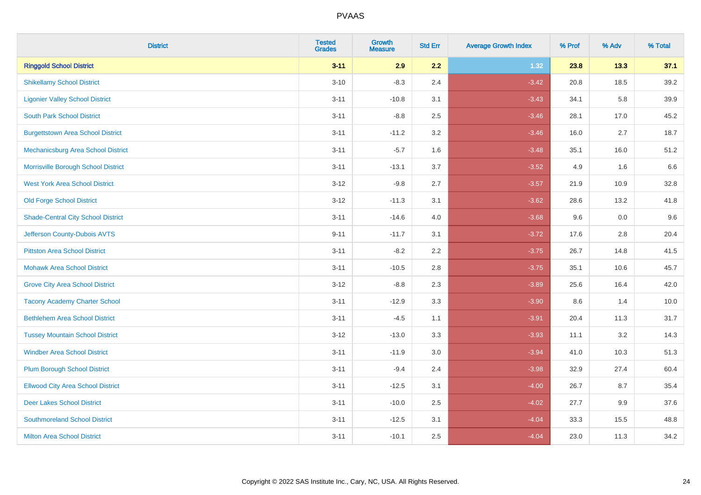| <b>District</b>                           | <b>Tested</b><br><b>Grades</b> | <b>Growth</b><br><b>Measure</b> | <b>Std Err</b> | <b>Average Growth Index</b> | % Prof | % Adv | % Total |
|-------------------------------------------|--------------------------------|---------------------------------|----------------|-----------------------------|--------|-------|---------|
| <b>Ringgold School District</b>           | $3 - 11$                       | 2.9                             | 2.2            | 1.32                        | 23.8   | 13.3  | 37.1    |
| <b>Shikellamy School District</b>         | $3 - 10$                       | $-8.3$                          | 2.4            | $-3.42$                     | 20.8   | 18.5  | 39.2    |
| <b>Ligonier Valley School District</b>    | $3 - 11$                       | $-10.8$                         | 3.1            | $-3.43$                     | 34.1   | 5.8   | 39.9    |
| <b>South Park School District</b>         | $3 - 11$                       | $-8.8$                          | 2.5            | $-3.46$                     | 28.1   | 17.0  | 45.2    |
| <b>Burgettstown Area School District</b>  | $3 - 11$                       | $-11.2$                         | 3.2            | $-3.46$                     | 16.0   | 2.7   | 18.7    |
| Mechanicsburg Area School District        | $3 - 11$                       | $-5.7$                          | 1.6            | $-3.48$                     | 35.1   | 16.0  | 51.2    |
| Morrisville Borough School District       | $3 - 11$                       | $-13.1$                         | 3.7            | $-3.52$                     | 4.9    | 1.6   | 6.6     |
| <b>West York Area School District</b>     | $3 - 12$                       | $-9.8$                          | 2.7            | $-3.57$                     | 21.9   | 10.9  | 32.8    |
| <b>Old Forge School District</b>          | $3 - 12$                       | $-11.3$                         | 3.1            | $-3.62$                     | 28.6   | 13.2  | 41.8    |
| <b>Shade-Central City School District</b> | $3 - 11$                       | $-14.6$                         | 4.0            | $-3.68$                     | 9.6    | 0.0   | 9.6     |
| Jefferson County-Dubois AVTS              | $9 - 11$                       | $-11.7$                         | 3.1            | $-3.72$                     | 17.6   | 2.8   | 20.4    |
| <b>Pittston Area School District</b>      | $3 - 11$                       | $-8.2$                          | 2.2            | $-3.75$                     | 26.7   | 14.8  | 41.5    |
| <b>Mohawk Area School District</b>        | $3 - 11$                       | $-10.5$                         | 2.8            | $-3.75$                     | 35.1   | 10.6  | 45.7    |
| <b>Grove City Area School District</b>    | $3 - 12$                       | $-8.8$                          | 2.3            | $-3.89$                     | 25.6   | 16.4  | 42.0    |
| <b>Tacony Academy Charter School</b>      | $3 - 11$                       | $-12.9$                         | 3.3            | $-3.90$                     | 8.6    | 1.4   | 10.0    |
| <b>Bethlehem Area School District</b>     | $3 - 11$                       | $-4.5$                          | 1.1            | $-3.91$                     | 20.4   | 11.3  | 31.7    |
| <b>Tussey Mountain School District</b>    | $3 - 12$                       | $-13.0$                         | 3.3            | $-3.93$                     | 11.1   | 3.2   | 14.3    |
| <b>Windber Area School District</b>       | $3 - 11$                       | $-11.9$                         | 3.0            | $-3.94$                     | 41.0   | 10.3  | 51.3    |
| <b>Plum Borough School District</b>       | $3 - 11$                       | $-9.4$                          | 2.4            | $-3.98$                     | 32.9   | 27.4  | 60.4    |
| <b>Ellwood City Area School District</b>  | $3 - 11$                       | $-12.5$                         | 3.1            | $-4.00$                     | 26.7   | 8.7   | 35.4    |
| <b>Deer Lakes School District</b>         | $3 - 11$                       | $-10.0$                         | 2.5            | $-4.02$                     | 27.7   | 9.9   | 37.6    |
| <b>Southmoreland School District</b>      | $3 - 11$                       | $-12.5$                         | 3.1            | $-4.04$                     | 33.3   | 15.5  | 48.8    |
| <b>Milton Area School District</b>        | $3 - 11$                       | $-10.1$                         | 2.5            | $-4.04$                     | 23.0   | 11.3  | 34.2    |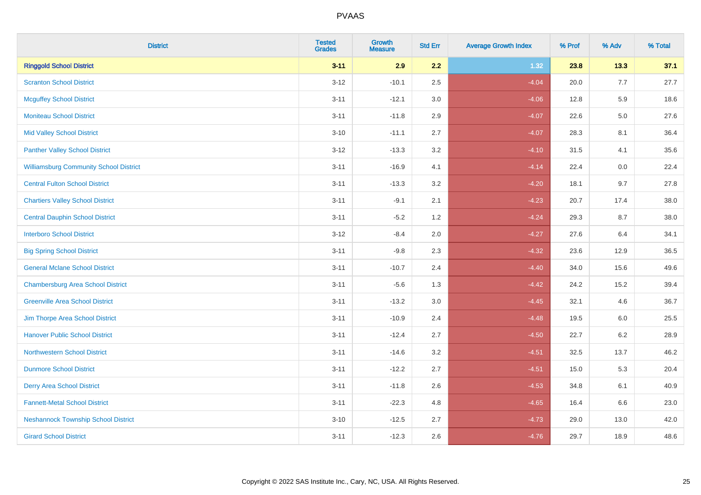| <b>District</b>                               | <b>Tested</b><br><b>Grades</b> | <b>Growth</b><br><b>Measure</b> | <b>Std Err</b> | <b>Average Growth Index</b> | % Prof | % Adv   | % Total |
|-----------------------------------------------|--------------------------------|---------------------------------|----------------|-----------------------------|--------|---------|---------|
| <b>Ringgold School District</b>               | $3 - 11$                       | 2.9                             | 2.2            | 1.32                        | 23.8   | 13.3    | 37.1    |
| <b>Scranton School District</b>               | $3 - 12$                       | $-10.1$                         | 2.5            | $-4.04$                     | 20.0   | 7.7     | 27.7    |
| <b>Mcguffey School District</b>               | $3 - 11$                       | $-12.1$                         | 3.0            | $-4.06$                     | 12.8   | 5.9     | 18.6    |
| <b>Moniteau School District</b>               | $3 - 11$                       | $-11.8$                         | 2.9            | $-4.07$                     | 22.6   | $5.0\,$ | 27.6    |
| <b>Mid Valley School District</b>             | $3 - 10$                       | $-11.1$                         | 2.7            | $-4.07$                     | 28.3   | 8.1     | 36.4    |
| <b>Panther Valley School District</b>         | $3 - 12$                       | $-13.3$                         | 3.2            | $-4.10$                     | 31.5   | 4.1     | 35.6    |
| <b>Williamsburg Community School District</b> | $3 - 11$                       | $-16.9$                         | 4.1            | $-4.14$                     | 22.4   | 0.0     | 22.4    |
| <b>Central Fulton School District</b>         | $3 - 11$                       | $-13.3$                         | 3.2            | $-4.20$                     | 18.1   | 9.7     | 27.8    |
| <b>Chartiers Valley School District</b>       | $3 - 11$                       | $-9.1$                          | 2.1            | $-4.23$                     | 20.7   | 17.4    | 38.0    |
| <b>Central Dauphin School District</b>        | $3 - 11$                       | $-5.2$                          | 1.2            | $-4.24$                     | 29.3   | 8.7     | 38.0    |
| <b>Interboro School District</b>              | $3 - 12$                       | $-8.4$                          | 2.0            | $-4.27$                     | 27.6   | 6.4     | 34.1    |
| <b>Big Spring School District</b>             | $3 - 11$                       | $-9.8$                          | 2.3            | $-4.32$                     | 23.6   | 12.9    | 36.5    |
| <b>General Mclane School District</b>         | $3 - 11$                       | $-10.7$                         | 2.4            | $-4.40$                     | 34.0   | 15.6    | 49.6    |
| <b>Chambersburg Area School District</b>      | $3 - 11$                       | $-5.6$                          | 1.3            | $-4.42$                     | 24.2   | 15.2    | 39.4    |
| <b>Greenville Area School District</b>        | $3 - 11$                       | $-13.2$                         | $3.0\,$        | $-4.45$                     | 32.1   | 4.6     | 36.7    |
| Jim Thorpe Area School District               | $3 - 11$                       | $-10.9$                         | 2.4            | $-4.48$                     | 19.5   | $6.0\,$ | 25.5    |
| <b>Hanover Public School District</b>         | $3 - 11$                       | $-12.4$                         | 2.7            | $-4.50$                     | 22.7   | 6.2     | 28.9    |
| <b>Northwestern School District</b>           | $3 - 11$                       | $-14.6$                         | 3.2            | $-4.51$                     | 32.5   | 13.7    | 46.2    |
| <b>Dunmore School District</b>                | $3 - 11$                       | $-12.2$                         | 2.7            | $-4.51$                     | 15.0   | 5.3     | 20.4    |
| <b>Derry Area School District</b>             | $3 - 11$                       | $-11.8$                         | 2.6            | $-4.53$                     | 34.8   | 6.1     | 40.9    |
| <b>Fannett-Metal School District</b>          | $3 - 11$                       | $-22.3$                         | 4.8            | $-4.65$                     | 16.4   | 6.6     | 23.0    |
| <b>Neshannock Township School District</b>    | $3 - 10$                       | $-12.5$                         | 2.7            | $-4.73$                     | 29.0   | 13.0    | 42.0    |
| <b>Girard School District</b>                 | $3 - 11$                       | $-12.3$                         | 2.6            | $-4.76$                     | 29.7   | 18.9    | 48.6    |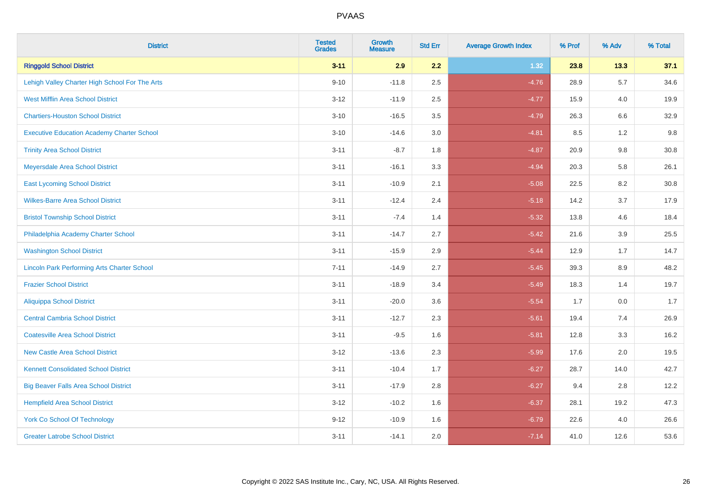| <b>District</b>                                    | <b>Tested</b><br><b>Grades</b> | <b>Growth</b><br><b>Measure</b> | <b>Std Err</b> | <b>Average Growth Index</b> | % Prof | % Adv   | % Total |
|----------------------------------------------------|--------------------------------|---------------------------------|----------------|-----------------------------|--------|---------|---------|
| <b>Ringgold School District</b>                    | $3 - 11$                       | 2.9                             | 2.2            | 1.32                        | 23.8   | 13.3    | 37.1    |
| Lehigh Valley Charter High School For The Arts     | $9 - 10$                       | $-11.8$                         | 2.5            | $-4.76$                     | 28.9   | 5.7     | 34.6    |
| <b>West Mifflin Area School District</b>           | $3 - 12$                       | $-11.9$                         | 2.5            | $-4.77$                     | 15.9   | 4.0     | 19.9    |
| <b>Chartiers-Houston School District</b>           | $3 - 10$                       | $-16.5$                         | 3.5            | $-4.79$                     | 26.3   | 6.6     | 32.9    |
| <b>Executive Education Academy Charter School</b>  | $3 - 10$                       | $-14.6$                         | 3.0            | $-4.81$                     | 8.5    | 1.2     | 9.8     |
| <b>Trinity Area School District</b>                | $3 - 11$                       | $-8.7$                          | 1.8            | $-4.87$                     | 20.9   | 9.8     | 30.8    |
| Meyersdale Area School District                    | $3 - 11$                       | $-16.1$                         | 3.3            | $-4.94$                     | 20.3   | 5.8     | 26.1    |
| <b>East Lycoming School District</b>               | $3 - 11$                       | $-10.9$                         | 2.1            | $-5.08$                     | 22.5   | 8.2     | 30.8    |
| <b>Wilkes-Barre Area School District</b>           | $3 - 11$                       | $-12.4$                         | 2.4            | $-5.18$                     | 14.2   | 3.7     | 17.9    |
| <b>Bristol Township School District</b>            | $3 - 11$                       | $-7.4$                          | 1.4            | $-5.32$                     | 13.8   | 4.6     | 18.4    |
| Philadelphia Academy Charter School                | $3 - 11$                       | $-14.7$                         | 2.7            | $-5.42$                     | 21.6   | 3.9     | 25.5    |
| <b>Washington School District</b>                  | $3 - 11$                       | $-15.9$                         | 2.9            | $-5.44$                     | 12.9   | 1.7     | 14.7    |
| <b>Lincoln Park Performing Arts Charter School</b> | $7 - 11$                       | $-14.9$                         | 2.7            | $-5.45$                     | 39.3   | $8.9\,$ | 48.2    |
| <b>Frazier School District</b>                     | $3 - 11$                       | $-18.9$                         | 3.4            | $-5.49$                     | 18.3   | 1.4     | 19.7    |
| <b>Aliquippa School District</b>                   | $3 - 11$                       | $-20.0$                         | 3.6            | $-5.54$                     | 1.7    | 0.0     | 1.7     |
| <b>Central Cambria School District</b>             | $3 - 11$                       | $-12.7$                         | 2.3            | $-5.61$                     | 19.4   | 7.4     | 26.9    |
| <b>Coatesville Area School District</b>            | $3 - 11$                       | $-9.5$                          | 1.6            | $-5.81$                     | 12.8   | 3.3     | 16.2    |
| <b>New Castle Area School District</b>             | $3 - 12$                       | $-13.6$                         | 2.3            | $-5.99$                     | 17.6   | 2.0     | 19.5    |
| <b>Kennett Consolidated School District</b>        | $3 - 11$                       | $-10.4$                         | 1.7            | $-6.27$                     | 28.7   | 14.0    | 42.7    |
| <b>Big Beaver Falls Area School District</b>       | $3 - 11$                       | $-17.9$                         | 2.8            | $-6.27$                     | 9.4    | 2.8     | 12.2    |
| <b>Hempfield Area School District</b>              | $3 - 12$                       | $-10.2$                         | 1.6            | $-6.37$                     | 28.1   | 19.2    | 47.3    |
| York Co School Of Technology                       | $9 - 12$                       | $-10.9$                         | 1.6            | $-6.79$                     | 22.6   | 4.0     | 26.6    |
| <b>Greater Latrobe School District</b>             | $3 - 11$                       | $-14.1$                         | 2.0            | $-7.14$                     | 41.0   | 12.6    | 53.6    |